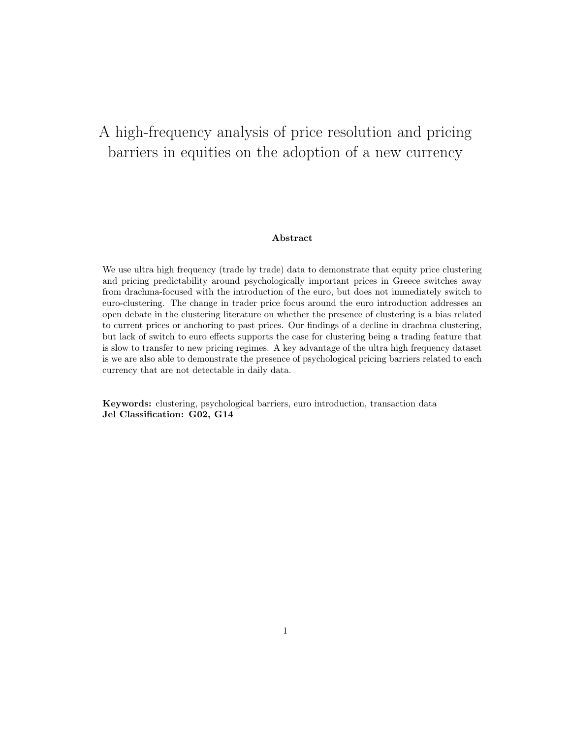# A high-frequency analysis of price resolution and pricing barriers in equities on the adoption of a new currency

#### Abstract

We use ultra high frequency (trade by trade) data to demonstrate that equity price clustering and pricing predictability around psychologically important prices in Greece switches away from drachma-focused with the introduction of the euro, but does not immediately switch to euro-clustering. The change in trader price focus around the euro introduction addresses an open debate in the clustering literature on whether the presence of clustering is a bias related to current prices or anchoring to past prices. Our findings of a decline in drachma clustering, but lack of switch to euro effects supports the case for clustering being a trading feature that is slow to transfer to new pricing regimes. A key advantage of the ultra high frequency dataset is we are also able to demonstrate the presence of psychological pricing barriers related to each currency that are not detectable in daily data.

Keywords: clustering, psychological barriers, euro introduction, transaction data Jel Classification: G02, G14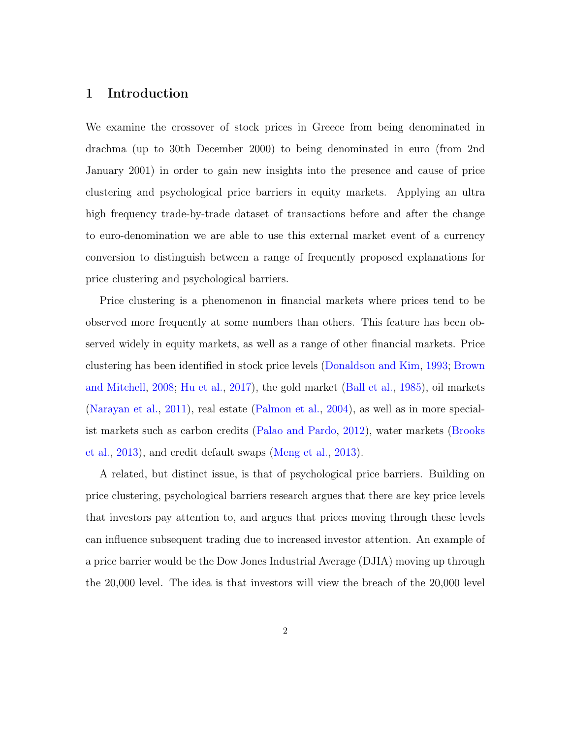## 1 Introduction

We examine the crossover of stock prices in Greece from being denominated in drachma (up to 30th December 2000) to being denominated in euro (from 2nd January 2001) in order to gain new insights into the presence and cause of price clustering and psychological price barriers in equity markets. Applying an ultra high frequency trade-by-trade dataset of transactions before and after the change to euro-denomination we are able to use this external market event of a currency conversion to distinguish between a range of frequently proposed explanations for price clustering and psychological barriers.

Price clustering is a phenomenon in financial markets where prices tend to be observed more frequently at some numbers than others. This feature has been observed widely in equity markets, as well as a range of other financial markets. Price clustering has been identified in stock price levels [\(Donaldson and Kim,](#page-22-0) [1993;](#page-22-0) [Brown](#page-21-0) [and Mitchell,](#page-21-0) [2008;](#page-21-0) [Hu et al.,](#page-22-1) [2017\)](#page-22-1), the gold market [\(Ball et al.,](#page-21-1) [1985\)](#page-21-1), oil markets [\(Narayan et al.,](#page-22-2) [2011\)](#page-22-2), real estate [\(Palmon et al.,](#page-22-3) [2004\)](#page-22-3), as well as in more specialist markets such as carbon credits [\(Palao and Pardo,](#page-22-4) [2012\)](#page-22-4), water markets [\(Brooks](#page-21-2) [et al.,](#page-21-2) [2013\)](#page-21-2), and credit default swaps [\(Meng et al.,](#page-22-5) [2013\)](#page-22-5).

A related, but distinct issue, is that of psychological price barriers. Building on price clustering, psychological barriers research argues that there are key price levels that investors pay attention to, and argues that prices moving through these levels can influence subsequent trading due to increased investor attention. An example of a price barrier would be the Dow Jones Industrial Average (DJIA) moving up through the 20,000 level. The idea is that investors will view the breach of the 20,000 level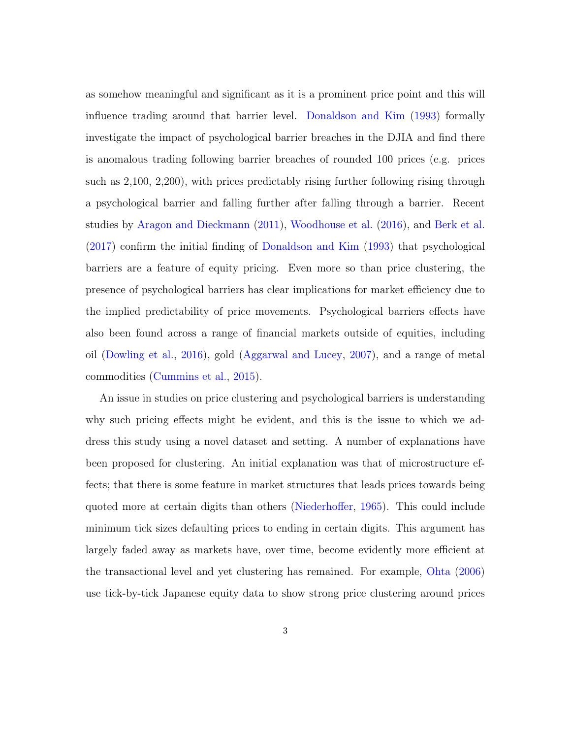as somehow meaningful and significant as it is a prominent price point and this will influence trading around that barrier level. [Donaldson and Kim](#page-22-0) [\(1993\)](#page-22-0) formally investigate the impact of psychological barrier breaches in the DJIA and find there is anomalous trading following barrier breaches of rounded 100 prices (e.g. prices such as 2,100, 2,200), with prices predictably rising further following rising through a psychological barrier and falling further after falling through a barrier. Recent studies by [Aragon and Dieckmann](#page-21-3) [\(2011\)](#page-21-3), [Woodhouse et al.](#page-23-0) [\(2016\)](#page-23-0), and [Berk et al.](#page-21-4) [\(2017\)](#page-21-4) confirm the initial finding of [Donaldson and Kim](#page-22-0) [\(1993\)](#page-22-0) that psychological barriers are a feature of equity pricing. Even more so than price clustering, the presence of psychological barriers has clear implications for market efficiency due to the implied predictability of price movements. Psychological barriers effects have also been found across a range of financial markets outside of equities, including oil [\(Dowling et al.,](#page-22-6) [2016\)](#page-22-6), gold [\(Aggarwal and Lucey,](#page-21-5) [2007\)](#page-21-5), and a range of metal commodities [\(Cummins et al.,](#page-21-6) [2015\)](#page-21-6).

An issue in studies on price clustering and psychological barriers is understanding why such pricing effects might be evident, and this is the issue to which we address this study using a novel dataset and setting. A number of explanations have been proposed for clustering. An initial explanation was that of microstructure effects; that there is some feature in market structures that leads prices towards being quoted more at certain digits than others [\(Niederhoffer,](#page-22-7) [1965\)](#page-22-7). This could include minimum tick sizes defaulting prices to ending in certain digits. This argument has largely faded away as markets have, over time, become evidently more efficient at the transactional level and yet clustering has remained. For example, [Ohta](#page-22-8) [\(2006\)](#page-22-8) use tick-by-tick Japanese equity data to show strong price clustering around prices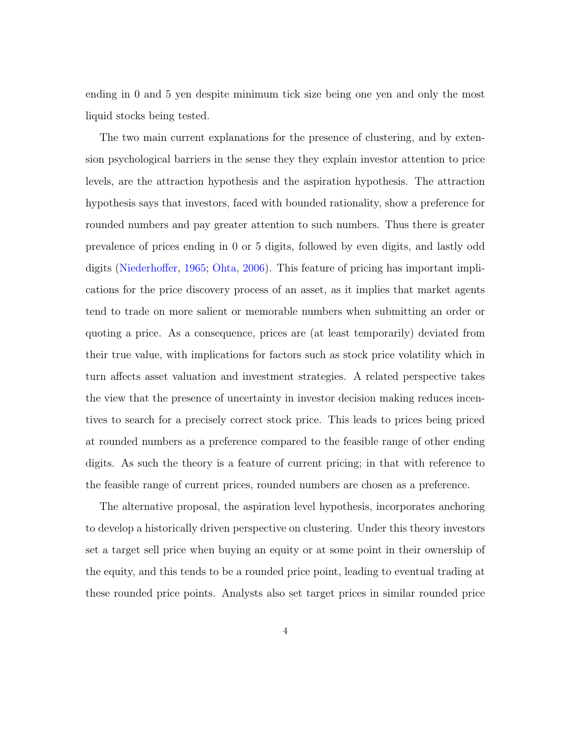ending in 0 and 5 yen despite minimum tick size being one yen and only the most liquid stocks being tested.

The two main current explanations for the presence of clustering, and by extension psychological barriers in the sense they they explain investor attention to price levels, are the attraction hypothesis and the aspiration hypothesis. The attraction hypothesis says that investors, faced with bounded rationality, show a preference for rounded numbers and pay greater attention to such numbers. Thus there is greater prevalence of prices ending in 0 or 5 digits, followed by even digits, and lastly odd digits [\(Niederhoffer,](#page-22-7) [1965;](#page-22-7) [Ohta,](#page-22-8) [2006\)](#page-22-8). This feature of pricing has important implications for the price discovery process of an asset, as it implies that market agents tend to trade on more salient or memorable numbers when submitting an order or quoting a price. As a consequence, prices are (at least temporarily) deviated from their true value, with implications for factors such as stock price volatility which in turn affects asset valuation and investment strategies. A related perspective takes the view that the presence of uncertainty in investor decision making reduces incentives to search for a precisely correct stock price. This leads to prices being priced at rounded numbers as a preference compared to the feasible range of other ending digits. As such the theory is a feature of current pricing; in that with reference to the feasible range of current prices, rounded numbers are chosen as a preference.

The alternative proposal, the aspiration level hypothesis, incorporates anchoring to develop a historically driven perspective on clustering. Under this theory investors set a target sell price when buying an equity or at some point in their ownership of the equity, and this tends to be a rounded price point, leading to eventual trading at these rounded price points. Analysts also set target prices in similar rounded price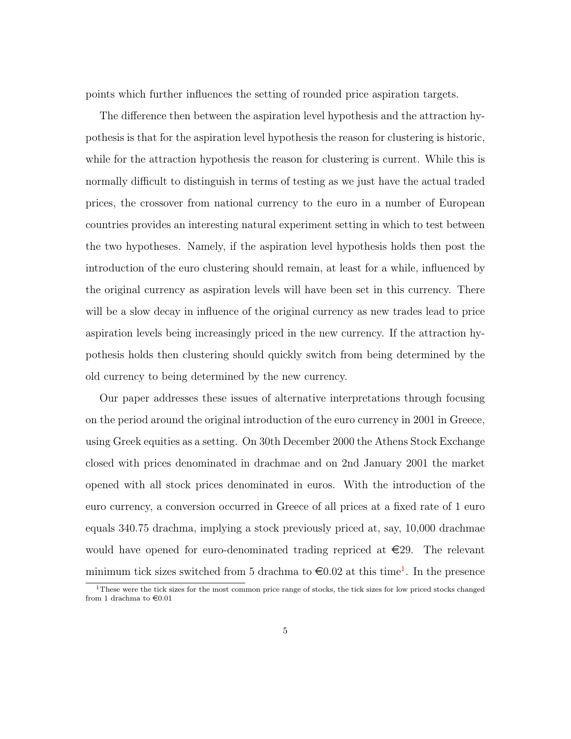points which further influences the setting of rounded price aspiration targets.

The difference then between the aspiration level hypothesis and the attraction hypothesis is that for the aspiration level hypothesis the reason for clustering is historic, while for the attraction hypothesis the reason for clustering is current. While this is normally difficult to distinguish in terms of testing as we just have the actual traded prices, the crossover from national currency to the euro in a number of European countries provides an interesting natural experiment setting in which to test between the two hypotheses. Namely, if the aspiration level hypothesis holds then post the introduction of the euro clustering should remain, at least for a while, influenced by the original currency as aspiration levels will have been set in this currency. There will be a slow decay in influence of the original currency as new trades lead to price aspiration levels being increasingly priced in the new currency. If the attraction hypothesis holds then clustering should quickly switch from being determined by the old currency to being determined by the new currency.

Our paper addresses these issues of alternative interpretations through focusing on the period around the original introduction of the euro currency in 2001 in Greece, using Greek equities as a setting. On 30th December 2000 the Athens Stock Exchange closed with prices denominated in drachmae and on 2nd January 2001 the market opened with all stock prices denominated in euros. With the introduction of the euro currency, a conversion occurred in Greece of all prices at a fixed rate of 1 euro equals 340.75 drachma, implying a stock previously priced at, say, 10,000 drachmae would have opened for euro-denominated trading repriced at  $\in 29$ . The relevant minimum tick sizes switched from 5 drachma to  $\text{\textsterling}0.02$  at this time<sup>[1](#page-4-0)</sup>. In the presence

<span id="page-4-0"></span><sup>&</sup>lt;sup>1</sup>These were the tick sizes for the most common price range of stocks, the tick sizes for low priced stocks changed from 1 drachma to  $\in 0.01$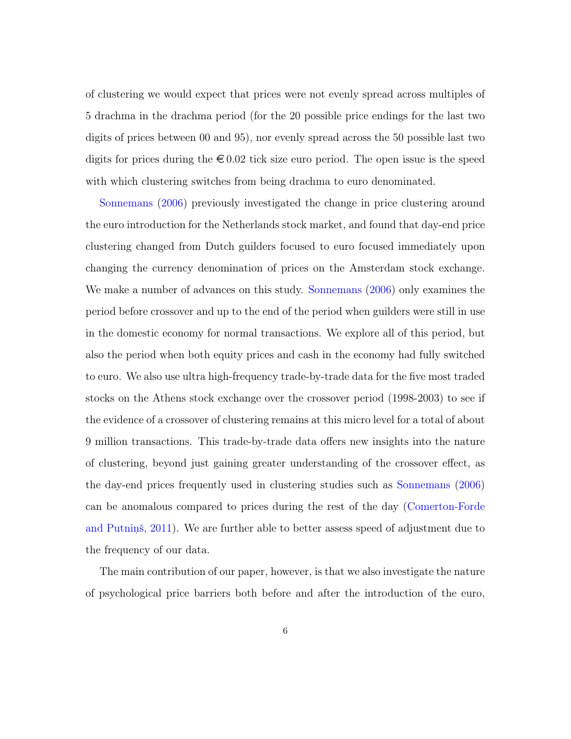of clustering we would expect that prices were not evenly spread across multiples of 5 drachma in the drachma period (for the 20 possible price endings for the last two digits of prices between 00 and 95), nor evenly spread across the 50 possible last two digits for prices during the  $\epsilon 0.02$  tick size euro period. The open issue is the speed with which clustering switches from being drachma to euro denominated.

[Sonnemans](#page-22-9) [\(2006\)](#page-22-9) previously investigated the change in price clustering around the euro introduction for the Netherlands stock market, and found that day-end price clustering changed from Dutch guilders focused to euro focused immediately upon changing the currency denomination of prices on the Amsterdam stock exchange. We make a number of advances on this study. [Sonnemans](#page-22-9) [\(2006\)](#page-22-9) only examines the period before crossover and up to the end of the period when guilders were still in use in the domestic economy for normal transactions. We explore all of this period, but also the period when both equity prices and cash in the economy had fully switched to euro. We also use ultra high-frequency trade-by-trade data for the five most traded stocks on the Athens stock exchange over the crossover period (1998-2003) to see if the evidence of a crossover of clustering remains at this micro level for a total of about 9 million transactions. This trade-by-trade data offers new insights into the nature of clustering, beyond just gaining greater understanding of the crossover effect, as the day-end prices frequently used in clustering studies such as [Sonnemans](#page-22-9) [\(2006\)](#page-22-9) can be anomalous compared to prices during the rest of the day [\(Comerton-Forde](#page-21-7) [and Putnin](#page-21-7)s,  $2011$ ). We are further able to better assess speed of adjustment due to the frequency of our data.

The main contribution of our paper, however, is that we also investigate the nature of psychological price barriers both before and after the introduction of the euro,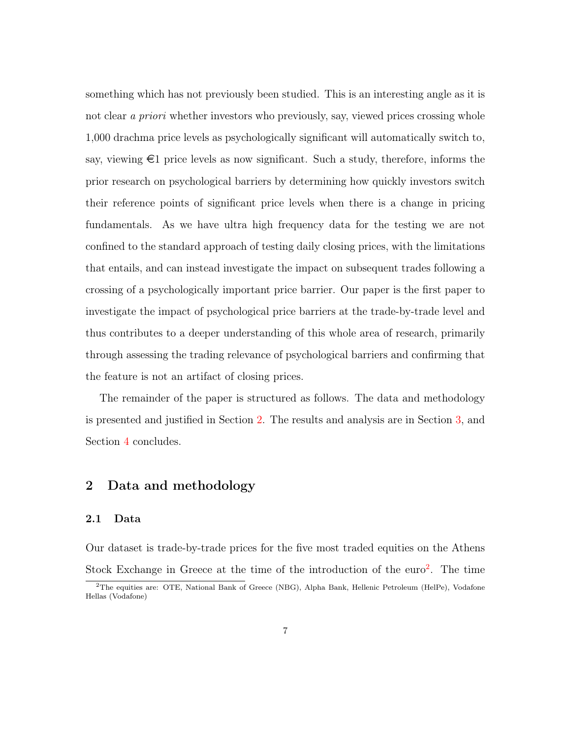something which has not previously been studied. This is an interesting angle as it is not clear a *priori* whether investors who previously, say, viewed prices crossing whole 1,000 drachma price levels as psychologically significant will automatically switch to, say, viewing  $\epsilon$ 1 price levels as now significant. Such a study, therefore, informs the prior research on psychological barriers by determining how quickly investors switch their reference points of significant price levels when there is a change in pricing fundamentals. As we have ultra high frequency data for the testing we are not confined to the standard approach of testing daily closing prices, with the limitations that entails, and can instead investigate the impact on subsequent trades following a crossing of a psychologically important price barrier. Our paper is the first paper to investigate the impact of psychological price barriers at the trade-by-trade level and thus contributes to a deeper understanding of this whole area of research, primarily through assessing the trading relevance of psychological barriers and confirming that the feature is not an artifact of closing prices.

The remainder of the paper is structured as follows. The data and methodology is presented and justified in Section [2.](#page-6-0) The results and analysis are in Section [3,](#page-12-0) and Section [4](#page-18-0) concludes.

## <span id="page-6-0"></span>2 Data and methodology

#### 2.1 Data

Our dataset is trade-by-trade prices for the five most traded equities on the Athens Stock Exchange in Greece at the time of the introduction of the  $euro^2$  $euro^2$ . The time

<span id="page-6-1"></span><sup>&</sup>lt;sup>2</sup>The equities are: OTE, National Bank of Greece (NBG), Alpha Bank, Hellenic Petroleum (HelPe), Vodafone Hellas (Vodafone)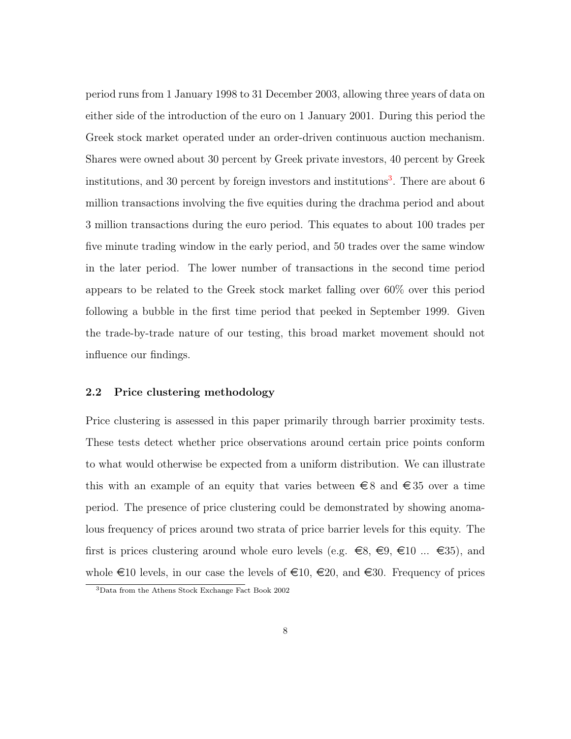period runs from 1 January 1998 to 31 December 2003, allowing three years of data on either side of the introduction of the euro on 1 January 2001. During this period the Greek stock market operated under an order-driven continuous auction mechanism. Shares were owned about 30 percent by Greek private investors, 40 percent by Greek institutions, and [3](#page-7-0)0 percent by foreign investors and institutions<sup>3</sup>. There are about 6 million transactions involving the five equities during the drachma period and about 3 million transactions during the euro period. This equates to about 100 trades per five minute trading window in the early period, and 50 trades over the same window in the later period. The lower number of transactions in the second time period appears to be related to the Greek stock market falling over 60% over this period following a bubble in the first time period that peeked in September 1999. Given the trade-by-trade nature of our testing, this broad market movement should not influence our findings.

### 2.2 Price clustering methodology

Price clustering is assessed in this paper primarily through barrier proximity tests. These tests detect whether price observations around certain price points conform to what would otherwise be expected from a uniform distribution. We can illustrate this with an example of an equity that varies between  $\epsilon \in S$  and  $\epsilon \in S$  over a time period. The presence of price clustering could be demonstrated by showing anomalous frequency of prices around two strata of price barrier levels for this equity. The first is prices clustering around whole euro levels (e.g.  $\epsilon \in S$ ,  $\epsilon \in \Omega$ ,  $\epsilon \in \Omega$  ...  $\epsilon \in \Omega$ ), and whole  $\infty$ 10 levels, in our case the levels of  $\infty$ 10,  $\infty$ 20, and  $\infty$ 30. Frequency of prices

<span id="page-7-0"></span><sup>3</sup>Data from the Athens Stock Exchange Fact Book 2002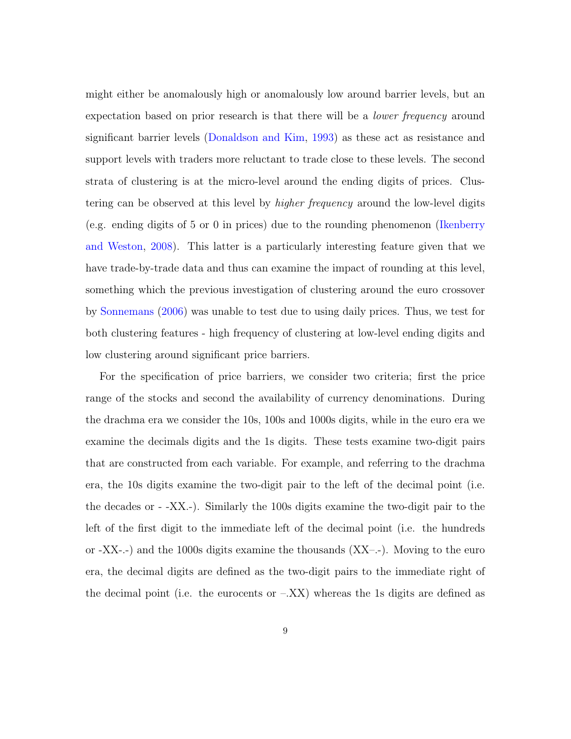might either be anomalously high or anomalously low around barrier levels, but an expectation based on prior research is that there will be a *lower frequency* around significant barrier levels [\(Donaldson and Kim,](#page-22-0) [1993\)](#page-22-0) as these act as resistance and support levels with traders more reluctant to trade close to these levels. The second strata of clustering is at the micro-level around the ending digits of prices. Clustering can be observed at this level by *higher frequency* around the low-level digits (e.g. ending digits of 5 or 0 in prices) due to the rounding phenomenon [\(Ikenberry](#page-22-10) [and Weston,](#page-22-10) [2008\)](#page-22-10). This latter is a particularly interesting feature given that we have trade-by-trade data and thus can examine the impact of rounding at this level, something which the previous investigation of clustering around the euro crossover by [Sonnemans](#page-22-9) [\(2006\)](#page-22-9) was unable to test due to using daily prices. Thus, we test for both clustering features - high frequency of clustering at low-level ending digits and low clustering around significant price barriers.

For the specification of price barriers, we consider two criteria; first the price range of the stocks and second the availability of currency denominations. During the drachma era we consider the 10s, 100s and 1000s digits, while in the euro era we examine the decimals digits and the 1s digits. These tests examine two-digit pairs that are constructed from each variable. For example, and referring to the drachma era, the 10s digits examine the two-digit pair to the left of the decimal point (i.e. the decades or - -XX.-). Similarly the 100s digits examine the two-digit pair to the left of the first digit to the immediate left of the decimal point (i.e. the hundreds or  $-XX$ - $-)$  and the 1000s digits examine the thousands  $(XX$ - $-)$ . Moving to the euro era, the decimal digits are defined as the two-digit pairs to the immediate right of the decimal point (i.e. the eurocents or  $-XX$ ) whereas the 1s digits are defined as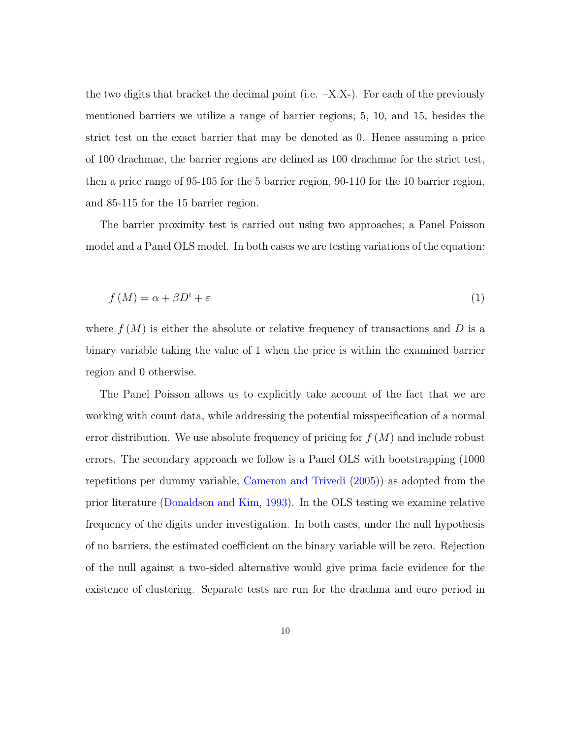the two digits that bracket the decimal point (i.e.  $-X.X$ ). For each of the previously mentioned barriers we utilize a range of barrier regions; 5, 10, and 15, besides the strict test on the exact barrier that may be denoted as 0. Hence assuming a price of 100 drachmae, the barrier regions are defined as 100 drachmae for the strict test, then a price range of 95-105 for the 5 barrier region, 90-110 for the 10 barrier region, and 85-115 for the 15 barrier region.

The barrier proximity test is carried out using two approaches; a Panel Poisson model and a Panel OLS model. In both cases we are testing variations of the equation:

$$
f(M) = \alpha + \beta D^i + \varepsilon \tag{1}
$$

where  $f(M)$  is either the absolute or relative frequency of transactions and D is a binary variable taking the value of 1 when the price is within the examined barrier region and 0 otherwise.

The Panel Poisson allows us to explicitly take account of the fact that we are working with count data, while addressing the potential misspecification of a normal error distribution. We use absolute frequency of pricing for  $f(M)$  and include robust errors. The secondary approach we follow is a Panel OLS with bootstrapping (1000 repetitions per dummy variable; [Cameron and Trivedi](#page-21-8) [\(2005\)](#page-21-8)) as adopted from the prior literature [\(Donaldson and Kim,](#page-22-0) [1993\)](#page-22-0). In the OLS testing we examine relative frequency of the digits under investigation. In both cases, under the null hypothesis of no barriers, the estimated coefficient on the binary variable will be zero. Rejection of the null against a two-sided alternative would give prima facie evidence for the existence of clustering. Separate tests are run for the drachma and euro period in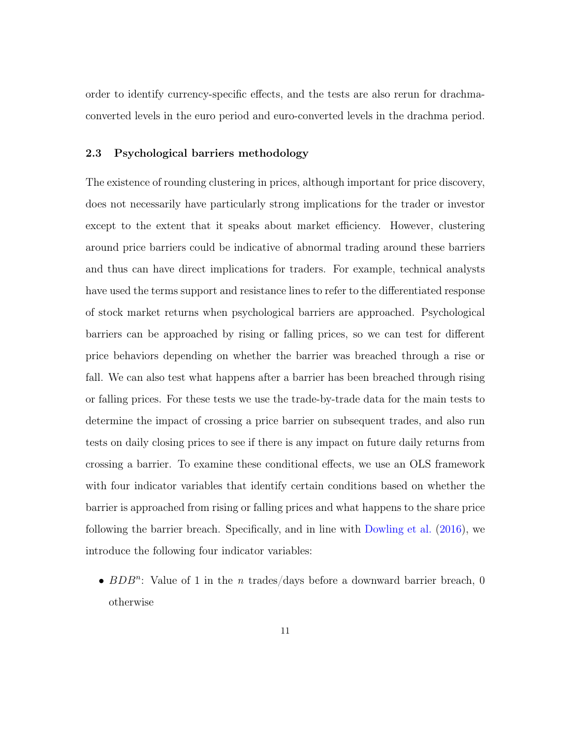order to identify currency-specific effects, and the tests are also rerun for drachmaconverted levels in the euro period and euro-converted levels in the drachma period.

## 2.3 Psychological barriers methodology

The existence of rounding clustering in prices, although important for price discovery, does not necessarily have particularly strong implications for the trader or investor except to the extent that it speaks about market efficiency. However, clustering around price barriers could be indicative of abnormal trading around these barriers and thus can have direct implications for traders. For example, technical analysts have used the terms support and resistance lines to refer to the differentiated response of stock market returns when psychological barriers are approached. Psychological barriers can be approached by rising or falling prices, so we can test for different price behaviors depending on whether the barrier was breached through a rise or fall. We can also test what happens after a barrier has been breached through rising or falling prices. For these tests we use the trade-by-trade data for the main tests to determine the impact of crossing a price barrier on subsequent trades, and also run tests on daily closing prices to see if there is any impact on future daily returns from crossing a barrier. To examine these conditional effects, we use an OLS framework with four indicator variables that identify certain conditions based on whether the barrier is approached from rising or falling prices and what happens to the share price following the barrier breach. Specifically, and in line with [Dowling et al.](#page-22-6) [\(2016\)](#page-22-6), we introduce the following four indicator variables:

•  $BDB^n$ : Value of 1 in the *n* trades/days before a downward barrier breach, 0 otherwise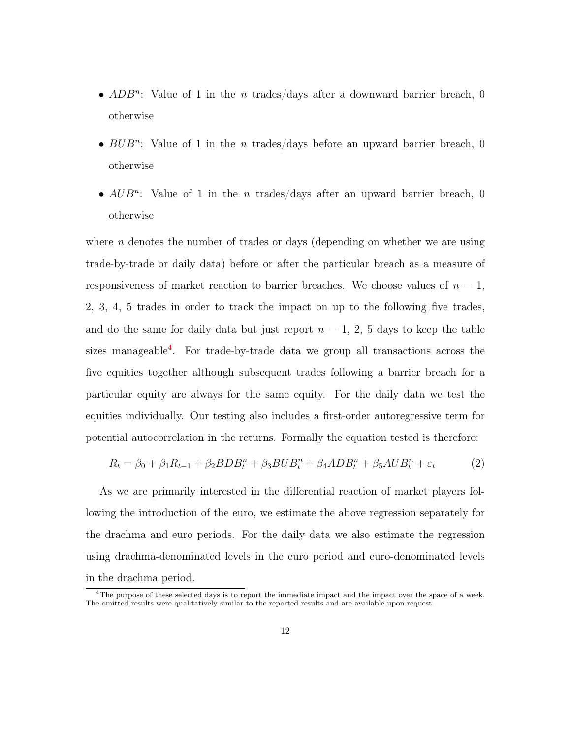- $ADB^n$ : Value of 1 in the *n* trades/days after a downward barrier breach, 0 otherwise
- $BUB^n$ : Value of 1 in the *n* trades/days before an upward barrier breach, 0 otherwise
- $AUB^n$ : Value of 1 in the *n* trades/days after an upward barrier breach, 0 otherwise

where n denotes the number of trades or days (depending on whether we are using trade-by-trade or daily data) before or after the particular breach as a measure of responsiveness of market reaction to barrier breaches. We choose values of  $n = 1$ , 2, 3, 4, 5 trades in order to track the impact on up to the following five trades, and do the same for daily data but just report  $n = 1, 2, 5$  days to keep the table sizes manageable<sup>[4](#page-11-0)</sup>. For trade-by-trade data we group all transactions across the five equities together although subsequent trades following a barrier breach for a particular equity are always for the same equity. For the daily data we test the equities individually. Our testing also includes a first-order autoregressive term for potential autocorrelation in the returns. Formally the equation tested is therefore:

$$
R_t = \beta_0 + \beta_1 R_{t-1} + \beta_2 BDB_t^n + \beta_3 BUB_t^n + \beta_4 ADB_t^n + \beta_5 AUB_t^n + \varepsilon_t
$$
 (2)

As we are primarily interested in the differential reaction of market players following the introduction of the euro, we estimate the above regression separately for the drachma and euro periods. For the daily data we also estimate the regression using drachma-denominated levels in the euro period and euro-denominated levels in the drachma period.

<span id="page-11-0"></span><sup>4</sup>The purpose of these selected days is to report the immediate impact and the impact over the space of a week. The omitted results were qualitatively similar to the reported results and are available upon request.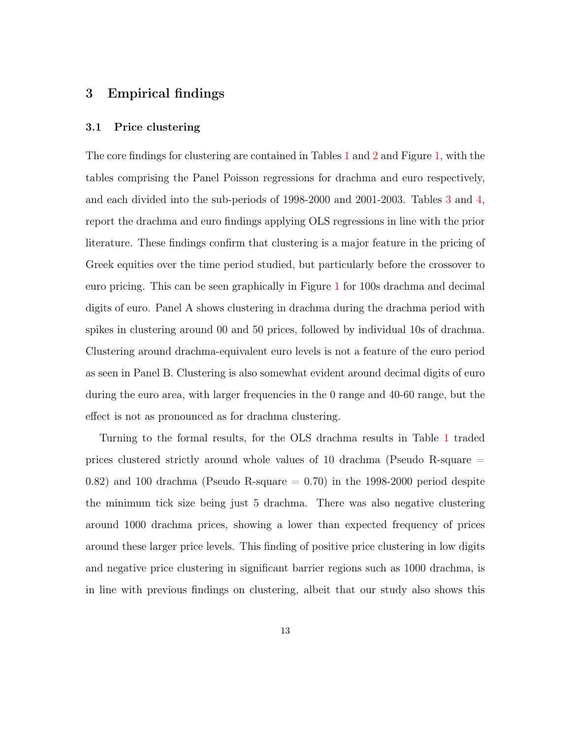## <span id="page-12-0"></span>3 Empirical findings

#### 3.1 Price clustering

The core findings for clustering are contained in Tables [1](#page-26-0) and [2](#page-27-0) and Figure [1,](#page-24-0) with the tables comprising the Panel Poisson regressions for drachma and euro respectively, and each divided into the sub-periods of 1998-2000 and 2001-2003. Tables [3](#page-28-0) and [4,](#page-29-0) report the drachma and euro findings applying OLS regressions in line with the prior literature. These findings confirm that clustering is a major feature in the pricing of Greek equities over the time period studied, but particularly before the crossover to euro pricing. This can be seen graphically in Figure [1](#page-24-0) for 100s drachma and decimal digits of euro. Panel A shows clustering in drachma during the drachma period with spikes in clustering around 00 and 50 prices, followed by individual 10s of drachma. Clustering around drachma-equivalent euro levels is not a feature of the euro period as seen in Panel B. Clustering is also somewhat evident around decimal digits of euro during the euro area, with larger frequencies in the 0 range and 40-60 range, but the effect is not as pronounced as for drachma clustering.

Turning to the formal results, for the OLS drachma results in Table [1](#page-26-0) traded prices clustered strictly around whole values of 10 drachma (Pseudo R-square = 0.82) and 100 drachma (Pseudo R-square  $=$  0.70) in the 1998-2000 period despite the minimum tick size being just 5 drachma. There was also negative clustering around 1000 drachma prices, showing a lower than expected frequency of prices around these larger price levels. This finding of positive price clustering in low digits and negative price clustering in significant barrier regions such as 1000 drachma, is in line with previous findings on clustering, albeit that our study also shows this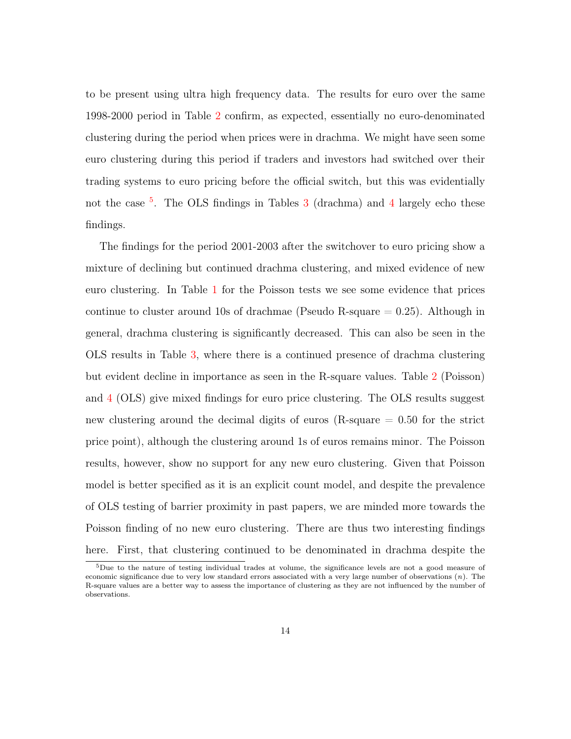to be present using ultra high frequency data. The results for euro over the same 1998-2000 period in Table [2](#page-27-0) confirm, as expected, essentially no euro-denominated clustering during the period when prices were in drachma. We might have seen some euro clustering during this period if traders and investors had switched over their trading systems to euro pricing before the official switch, but this was evidentially not the case <sup>[5](#page-13-0)</sup>. The OLS findings in Tables [3](#page-28-0) (drachma) and [4](#page-29-0) largely echo these findings.

The findings for the period 2001-2003 after the switchover to euro pricing show a mixture of declining but continued drachma clustering, and mixed evidence of new euro clustering. In Table [1](#page-26-0) for the Poisson tests we see some evidence that prices continue to cluster around 10s of drachmae (Pseudo R-square  $= 0.25$ ). Although in general, drachma clustering is significantly decreased. This can also be seen in the OLS results in Table [3,](#page-28-0) where there is a continued presence of drachma clustering but evident decline in importance as seen in the R-square values. Table [2](#page-27-0) (Poisson) and [4](#page-29-0) (OLS) give mixed findings for euro price clustering. The OLS results suggest new clustering around the decimal digits of euros (R-square = 0.50 for the strict price point), although the clustering around 1s of euros remains minor. The Poisson results, however, show no support for any new euro clustering. Given that Poisson model is better specified as it is an explicit count model, and despite the prevalence of OLS testing of barrier proximity in past papers, we are minded more towards the Poisson finding of no new euro clustering. There are thus two interesting findings here. First, that clustering continued to be denominated in drachma despite the

<span id="page-13-0"></span><sup>5</sup>Due to the nature of testing individual trades at volume, the significance levels are not a good measure of economic significance due to very low standard errors associated with a very large number of observations  $(n)$ . The R-square values are a better way to assess the importance of clustering as they are not influenced by the number of observations.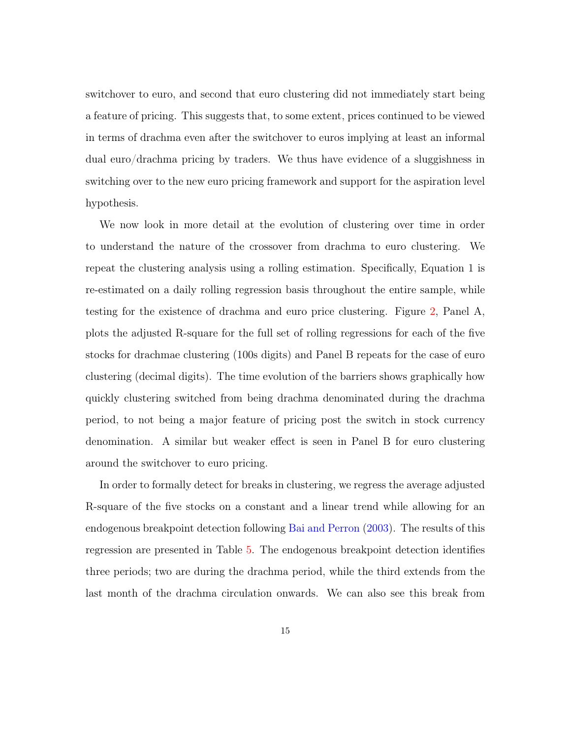switchover to euro, and second that euro clustering did not immediately start being a feature of pricing. This suggests that, to some extent, prices continued to be viewed in terms of drachma even after the switchover to euros implying at least an informal dual euro/drachma pricing by traders. We thus have evidence of a sluggishness in switching over to the new euro pricing framework and support for the aspiration level hypothesis.

We now look in more detail at the evolution of clustering over time in order to understand the nature of the crossover from drachma to euro clustering. We repeat the clustering analysis using a rolling estimation. Specifically, Equation 1 is re-estimated on a daily rolling regression basis throughout the entire sample, while testing for the existence of drachma and euro price clustering. Figure [2,](#page-25-0) Panel A, plots the adjusted R-square for the full set of rolling regressions for each of the five stocks for drachmae clustering (100s digits) and Panel B repeats for the case of euro clustering (decimal digits). The time evolution of the barriers shows graphically how quickly clustering switched from being drachma denominated during the drachma period, to not being a major feature of pricing post the switch in stock currency denomination. A similar but weaker effect is seen in Panel B for euro clustering around the switchover to euro pricing.

In order to formally detect for breaks in clustering, we regress the average adjusted R-square of the five stocks on a constant and a linear trend while allowing for an endogenous breakpoint detection following [Bai and Perron](#page-21-9) [\(2003\)](#page-21-9). The results of this regression are presented in Table [5.](#page-30-0) The endogenous breakpoint detection identifies three periods; two are during the drachma period, while the third extends from the last month of the drachma circulation onwards. We can also see this break from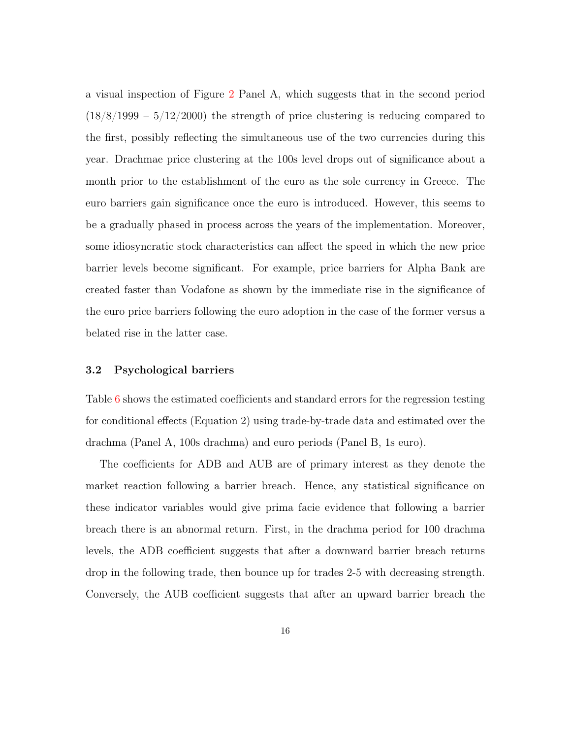a visual inspection of Figure [2](#page-25-0) Panel A, which suggests that in the second period  $(18/8/1999 - 5/12/2000)$  the strength of price clustering is reducing compared to the first, possibly reflecting the simultaneous use of the two currencies during this year. Drachmae price clustering at the 100s level drops out of significance about a month prior to the establishment of the euro as the sole currency in Greece. The euro barriers gain significance once the euro is introduced. However, this seems to be a gradually phased in process across the years of the implementation. Moreover, some idiosyncratic stock characteristics can affect the speed in which the new price barrier levels become significant. For example, price barriers for Alpha Bank are created faster than Vodafone as shown by the immediate rise in the significance of the euro price barriers following the euro adoption in the case of the former versus a belated rise in the latter case.

#### 3.2 Psychological barriers

Table [6](#page-31-0) shows the estimated coefficients and standard errors for the regression testing for conditional effects (Equation 2) using trade-by-trade data and estimated over the drachma (Panel A, 100s drachma) and euro periods (Panel B, 1s euro).

The coefficients for ADB and AUB are of primary interest as they denote the market reaction following a barrier breach. Hence, any statistical significance on these indicator variables would give prima facie evidence that following a barrier breach there is an abnormal return. First, in the drachma period for 100 drachma levels, the ADB coefficient suggests that after a downward barrier breach returns drop in the following trade, then bounce up for trades 2-5 with decreasing strength. Conversely, the AUB coefficient suggests that after an upward barrier breach the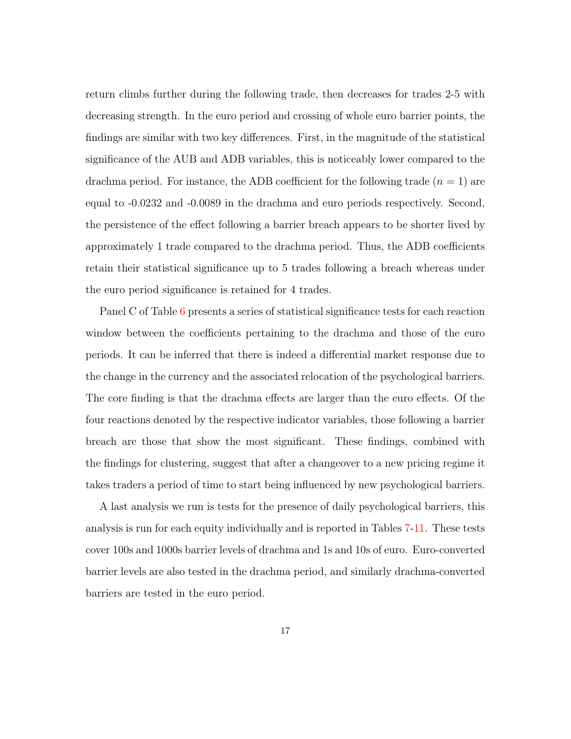return climbs further during the following trade, then decreases for trades 2-5 with decreasing strength. In the euro period and crossing of whole euro barrier points, the findings are similar with two key differences. First, in the magnitude of the statistical significance of the AUB and ADB variables, this is noticeably lower compared to the drachma period. For instance, the ADB coefficient for the following trade  $(n = 1)$  are equal to -0.0232 and -0.0089 in the drachma and euro periods respectively. Second, the persistence of the effect following a barrier breach appears to be shorter lived by approximately 1 trade compared to the drachma period. Thus, the ADB coefficients retain their statistical significance up to 5 trades following a breach whereas under the euro period significance is retained for 4 trades.

Panel C of Table [6](#page-31-0) presents a series of statistical significance tests for each reaction window between the coefficients pertaining to the drachma and those of the euro periods. It can be inferred that there is indeed a differential market response due to the change in the currency and the associated relocation of the psychological barriers. The core finding is that the drachma effects are larger than the euro effects. Of the four reactions denoted by the respective indicator variables, those following a barrier breach are those that show the most significant. These findings, combined with the findings for clustering, suggest that after a changeover to a new pricing regime it takes traders a period of time to start being influenced by new psychological barriers.

A last analysis we run is tests for the presence of daily psychological barriers, this analysis is run for each equity individually and is reported in Tables [7-](#page-32-0)[11.](#page-36-0) These tests cover 100s and 1000s barrier levels of drachma and 1s and 10s of euro. Euro-converted barrier levels are also tested in the drachma period, and similarly drachma-converted barriers are tested in the euro period.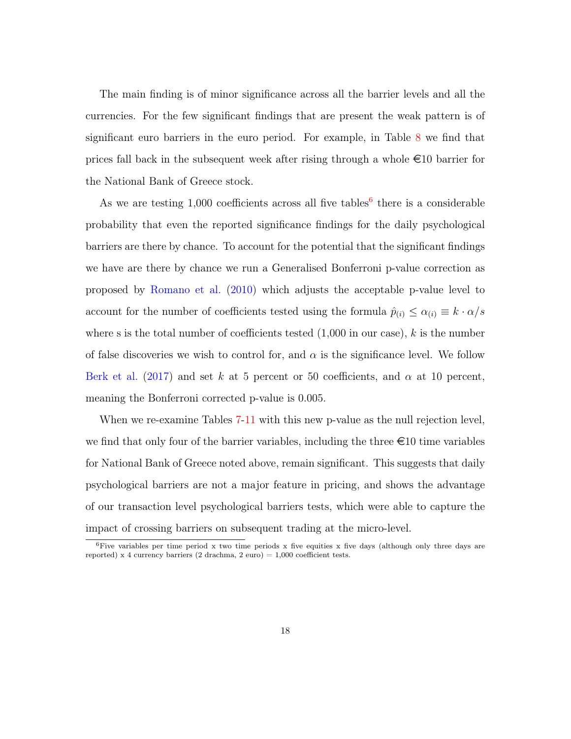The main finding is of minor significance across all the barrier levels and all the currencies. For the few significant findings that are present the weak pattern is of significant euro barriers in the euro period. For example, in Table [8](#page-33-0) we find that prices fall back in the subsequent week after rising through a whole  $\epsilon$ 10 barrier for the National Bank of Greece stock.

As we are testing  $1,000$  coefficients across all five tables<sup>[6](#page-17-0)</sup> there is a considerable probability that even the reported significance findings for the daily psychological barriers are there by chance. To account for the potential that the significant findings we have are there by chance we run a Generalised Bonferroni p-value correction as proposed by [Romano et al.](#page-22-11) [\(2010\)](#page-22-11) which adjusts the acceptable p-value level to account for the number of coefficients tested using the formula  $\hat{p}_{(i)} \leq \alpha_{(i)} \equiv k \cdot \alpha/s$ where s is the total number of coefficients tested  $(1,000$  in our case), k is the number of false discoveries we wish to control for, and  $\alpha$  is the significance level. We follow [Berk et al.](#page-21-4) [\(2017\)](#page-21-4) and set k at 5 percent or 50 coefficients, and  $\alpha$  at 10 percent, meaning the Bonferroni corrected p-value is 0.005.

When we re-examine Tables [7-](#page-32-0)[11](#page-36-0) with this new p-value as the null rejection level, we find that only four of the barrier variables, including the three  $\epsilon$  10 time variables for National Bank of Greece noted above, remain significant. This suggests that daily psychological barriers are not a major feature in pricing, and shows the advantage of our transaction level psychological barriers tests, which were able to capture the impact of crossing barriers on subsequent trading at the micro-level.

<span id="page-17-0"></span><sup>&</sup>lt;sup>6</sup>Five variables per time period x two time periods x five equities x five days (although only three days are reported) x 4 currency barriers (2 drachma, 2 euro) =  $1,000$  coefficient tests.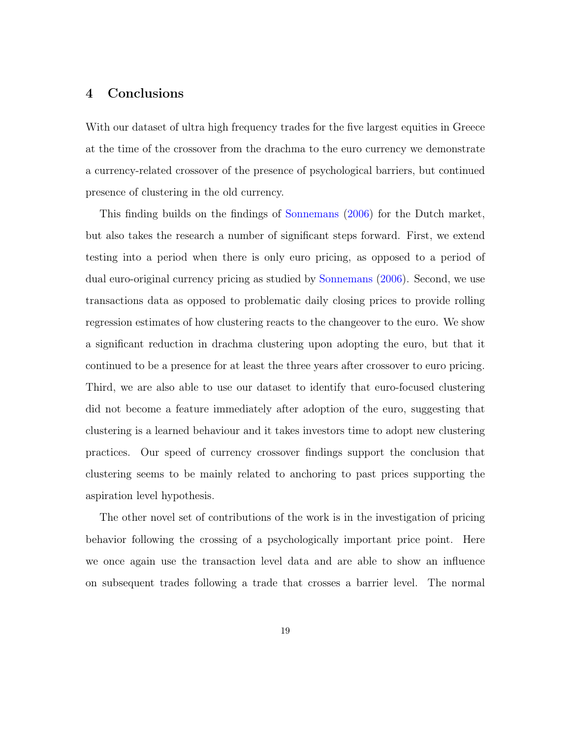## <span id="page-18-0"></span>4 Conclusions

With our dataset of ultra high frequency trades for the five largest equities in Greece at the time of the crossover from the drachma to the euro currency we demonstrate a currency-related crossover of the presence of psychological barriers, but continued presence of clustering in the old currency.

This finding builds on the findings of [Sonnemans](#page-22-9) [\(2006\)](#page-22-9) for the Dutch market, but also takes the research a number of significant steps forward. First, we extend testing into a period when there is only euro pricing, as opposed to a period of dual euro-original currency pricing as studied by [Sonnemans](#page-22-9) [\(2006\)](#page-22-9). Second, we use transactions data as opposed to problematic daily closing prices to provide rolling regression estimates of how clustering reacts to the changeover to the euro. We show a significant reduction in drachma clustering upon adopting the euro, but that it continued to be a presence for at least the three years after crossover to euro pricing. Third, we are also able to use our dataset to identify that euro-focused clustering did not become a feature immediately after adoption of the euro, suggesting that clustering is a learned behaviour and it takes investors time to adopt new clustering practices. Our speed of currency crossover findings support the conclusion that clustering seems to be mainly related to anchoring to past prices supporting the aspiration level hypothesis.

The other novel set of contributions of the work is in the investigation of pricing behavior following the crossing of a psychologically important price point. Here we once again use the transaction level data and are able to show an influence on subsequent trades following a trade that crosses a barrier level. The normal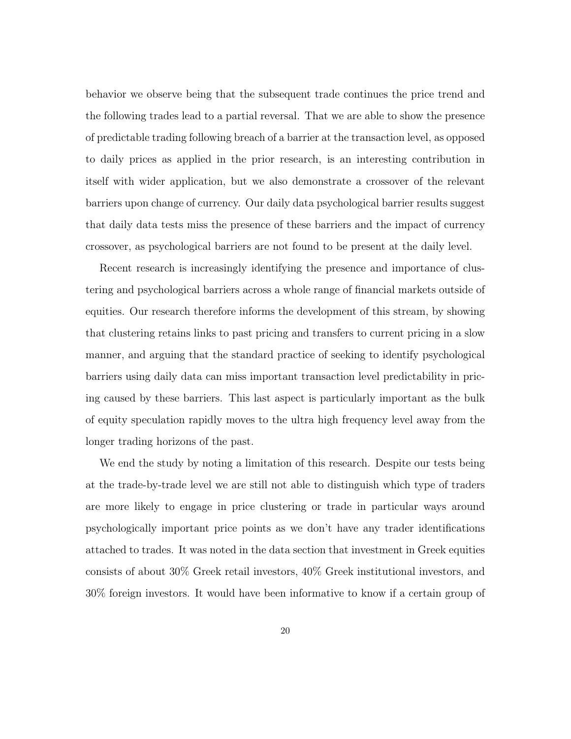behavior we observe being that the subsequent trade continues the price trend and the following trades lead to a partial reversal. That we are able to show the presence of predictable trading following breach of a barrier at the transaction level, as opposed to daily prices as applied in the prior research, is an interesting contribution in itself with wider application, but we also demonstrate a crossover of the relevant barriers upon change of currency. Our daily data psychological barrier results suggest that daily data tests miss the presence of these barriers and the impact of currency crossover, as psychological barriers are not found to be present at the daily level.

Recent research is increasingly identifying the presence and importance of clustering and psychological barriers across a whole range of financial markets outside of equities. Our research therefore informs the development of this stream, by showing that clustering retains links to past pricing and transfers to current pricing in a slow manner, and arguing that the standard practice of seeking to identify psychological barriers using daily data can miss important transaction level predictability in pricing caused by these barriers. This last aspect is particularly important as the bulk of equity speculation rapidly moves to the ultra high frequency level away from the longer trading horizons of the past.

We end the study by noting a limitation of this research. Despite our tests being at the trade-by-trade level we are still not able to distinguish which type of traders are more likely to engage in price clustering or trade in particular ways around psychologically important price points as we don't have any trader identifications attached to trades. It was noted in the data section that investment in Greek equities consists of about 30% Greek retail investors, 40% Greek institutional investors, and 30% foreign investors. It would have been informative to know if a certain group of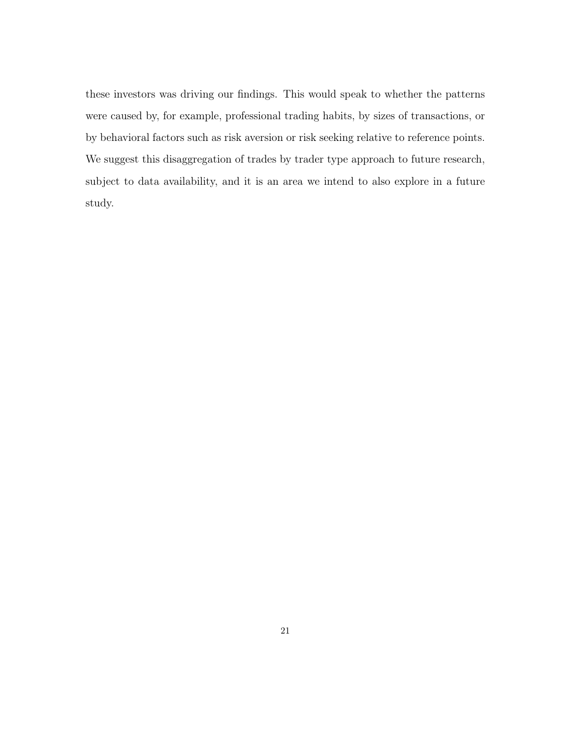these investors was driving our findings. This would speak to whether the patterns were caused by, for example, professional trading habits, by sizes of transactions, or by behavioral factors such as risk aversion or risk seeking relative to reference points. We suggest this disaggregation of trades by trader type approach to future research, subject to data availability, and it is an area we intend to also explore in a future study.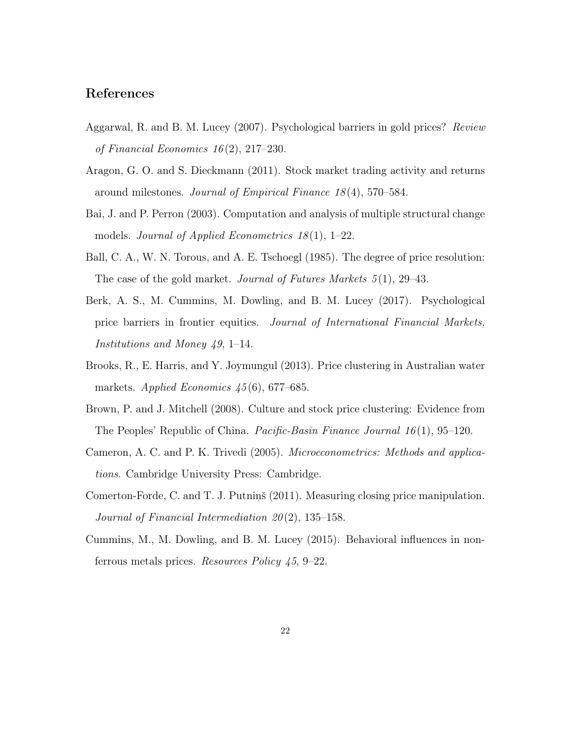## References

- <span id="page-21-5"></span>Aggarwal, R. and B. M. Lucey (2007). Psychological barriers in gold prices? Review of Financial Economics  $16(2)$ , 217–230.
- <span id="page-21-3"></span>Aragon, G. O. and S. Dieckmann (2011). Stock market trading activity and returns around milestones. Journal of Empirical Finance 18 (4), 570–584.
- <span id="page-21-9"></span>Bai, J. and P. Perron (2003). Computation and analysis of multiple structural change models. Journal of Applied Econometrics  $18(1)$ , 1–22.
- <span id="page-21-1"></span>Ball, C. A., W. N. Torous, and A. E. Tschoegl (1985). The degree of price resolution: The case of the gold market. *Journal of Futures Markets* 5(1), 29–43.
- <span id="page-21-4"></span>Berk, A. S., M. Cummins, M. Dowling, and B. M. Lucey (2017). Psychological price barriers in frontier equities. Journal of International Financial Markets, Institutions and Money 49, 1–14.
- <span id="page-21-2"></span>Brooks, R., E. Harris, and Y. Joymungul (2013). Price clustering in Australian water markets. Applied Economics  $45(6)$ , 677–685.
- <span id="page-21-0"></span>Brown, P. and J. Mitchell (2008). Culture and stock price clustering: Evidence from The Peoples' Republic of China. *Pacific-Basin Finance Journal*  $16(1)$ , 95–120.
- <span id="page-21-8"></span>Cameron, A. C. and P. K. Trivedi (2005). Microeconometrics: Methods and applications. Cambridge University Press: Cambridge.
- <span id="page-21-7"></span>Comerton-Forde, C. and T. J. Putning (2011). Measuring closing price manipulation. Journal of Financial Intermediation 20 (2), 135–158.
- <span id="page-21-6"></span>Cummins, M., M. Dowling, and B. M. Lucey (2015). Behavioral influences in nonferrous metals prices. Resources Policy 45, 9–22.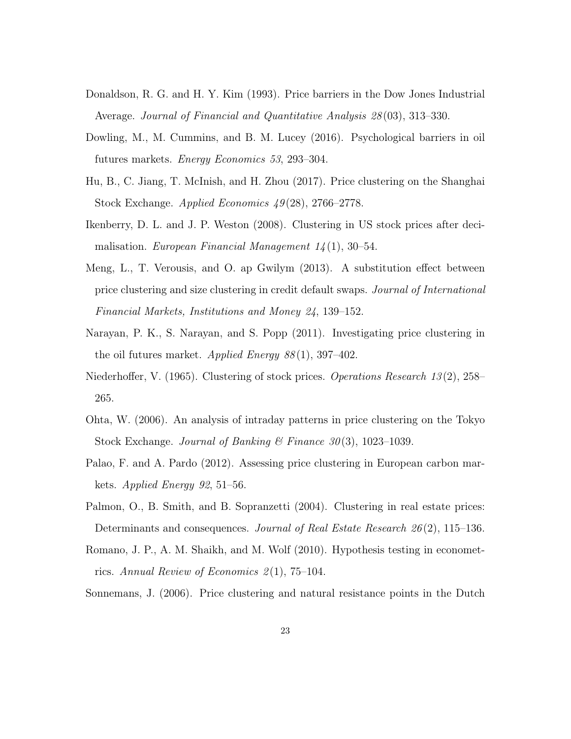- <span id="page-22-0"></span>Donaldson, R. G. and H. Y. Kim (1993). Price barriers in the Dow Jones Industrial Average. Journal of Financial and Quantitative Analysis 28 (03), 313–330.
- <span id="page-22-6"></span>Dowling, M., M. Cummins, and B. M. Lucey (2016). Psychological barriers in oil futures markets. Energy Economics 53, 293–304.
- <span id="page-22-1"></span>Hu, B., C. Jiang, T. McInish, and H. Zhou (2017). Price clustering on the Shanghai Stock Exchange. Applied Economics 49 (28), 2766–2778.
- <span id="page-22-10"></span>Ikenberry, D. L. and J. P. Weston (2008). Clustering in US stock prices after decimalisation. European Financial Management  $14(1)$ , 30–54.
- <span id="page-22-5"></span>Meng, L., T. Verousis, and O. ap Gwilym (2013). A substitution effect between price clustering and size clustering in credit default swaps. Journal of International Financial Markets, Institutions and Money 24, 139–152.
- <span id="page-22-2"></span>Narayan, P. K., S. Narayan, and S. Popp (2011). Investigating price clustering in the oil futures market. Applied Energy  $88(1)$ , 397-402.
- <span id="page-22-7"></span>Niederhoffer, V. (1965). Clustering of stock prices. *Operations Research 13* (2), 258– 265.
- <span id="page-22-8"></span>Ohta, W. (2006). An analysis of intraday patterns in price clustering on the Tokyo Stock Exchange. Journal of Banking & Finance  $30(3)$ , 1023–1039.
- <span id="page-22-4"></span>Palao, F. and A. Pardo (2012). Assessing price clustering in European carbon markets. Applied Energy 92, 51–56.
- <span id="page-22-3"></span>Palmon, O., B. Smith, and B. Sopranzetti (2004). Clustering in real estate prices: Determinants and consequences. Journal of Real Estate Research  $26(2)$ , 115–136.
- <span id="page-22-11"></span>Romano, J. P., A. M. Shaikh, and M. Wolf (2010). Hypothesis testing in econometrics. Annual Review of Economics  $2(1)$ , 75–104.
- <span id="page-22-9"></span>Sonnemans, J. (2006). Price clustering and natural resistance points in the Dutch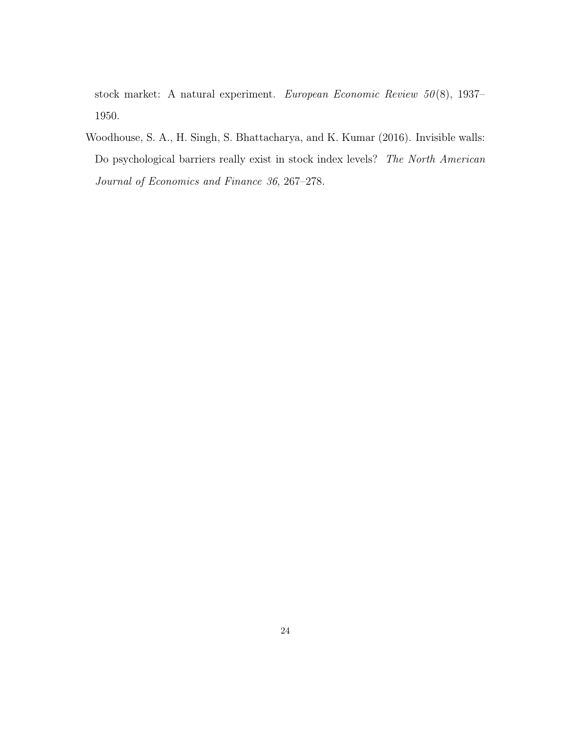stock market: A natural experiment. European Economic Review 50 (8), 1937– 1950.

<span id="page-23-0"></span>Woodhouse, S. A., H. Singh, S. Bhattacharya, and K. Kumar (2016). Invisible walls: Do psychological barriers really exist in stock index levels? The North American Journal of Economics and Finance 36, 267–278.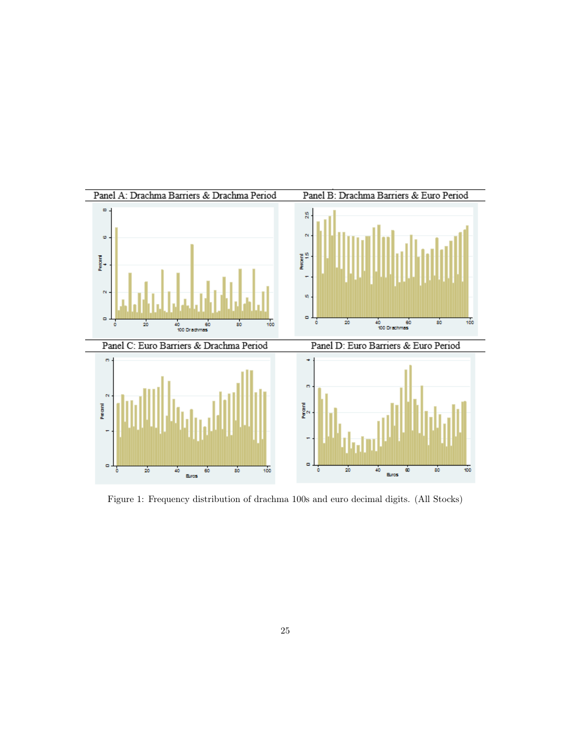<span id="page-24-0"></span>

Figure 1: Frequency distribution of drachma 100s and euro decimal digits. (All Stocks)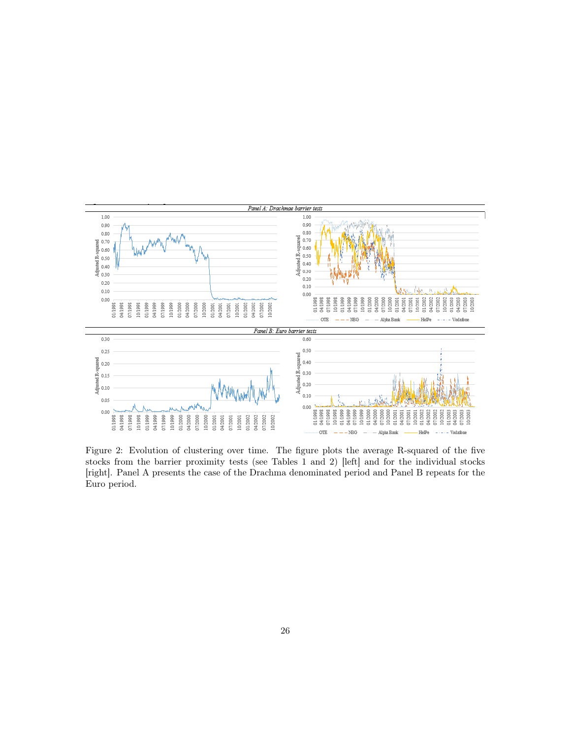<span id="page-25-0"></span>

Figure 2: Evolution of clustering over time. The figure plots the average R-squared of the five stocks from the barrier proximity tests (see Tables 1 and 2) [left] and for the individual stocks [right]. Panel A presents the case of the Drachma denominated period and Panel B repeats for the Euro period.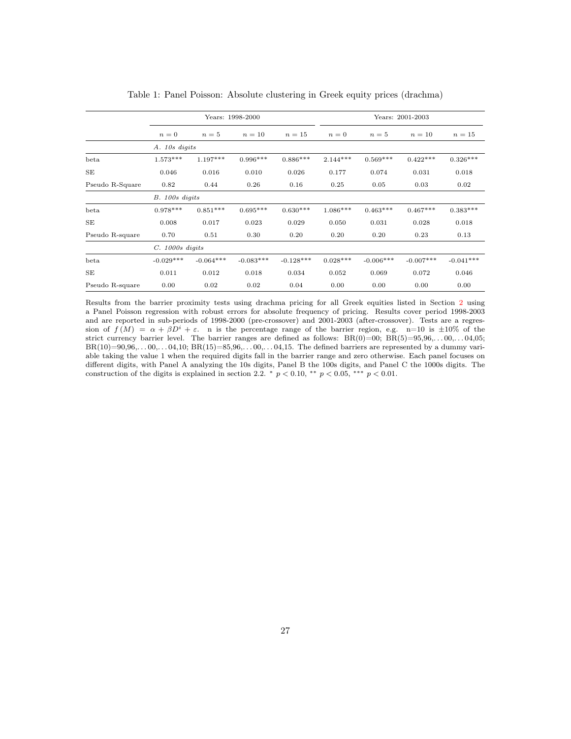<span id="page-26-0"></span>

|                 |                   |                  | Years: 1998-2000 |             | Years: 2001-2003 |             |             |             |  |  |  |  |
|-----------------|-------------------|------------------|------------------|-------------|------------------|-------------|-------------|-------------|--|--|--|--|
|                 | $n=0$             | $n=5$            | $n=10$           | $n=15$      | $n=0$            | $n=5$       | $n=10$      | $n=15$      |  |  |  |  |
|                 | A. 10s digits     |                  |                  |             |                  |             |             |             |  |  |  |  |
| beta            | $1.573***$        | $1.197***$       | $0.996***$       | $0.886***$  | $2.144***$       | $0.569***$  | $0.422***$  | $0.326***$  |  |  |  |  |
| SE              | 0.046             | 0.016            | 0.010            | 0.026       | 0.177            | 0.074       | 0.031       | 0.018       |  |  |  |  |
| Pseudo R-Square | 0.82              | 0.44             | 0.26             | 0.16        | 0.25             | 0.05        | 0.03        | 0.02        |  |  |  |  |
|                 |                   | $B. 100s$ digits |                  |             |                  |             |             |             |  |  |  |  |
| beta            | $0.978***$        | $0.851***$       | $0.695***$       | $0.630***$  | $1.086***$       | $0.463***$  | $0.467***$  | $0.383***$  |  |  |  |  |
| SE              | 0.008             | 0.017            | 0.023            | 0.029       | 0.050            | 0.031       | 0.028       | 0.018       |  |  |  |  |
| Pseudo R-square | 0.70              | 0.51             | 0.30             | 0.20        | 0.20             | 0.20        | 0.23        | 0.13        |  |  |  |  |
|                 | $C.~1000s$ digits |                  |                  |             |                  |             |             |             |  |  |  |  |
| beta            | $-0.029***$       | $-0.064***$      | $-0.083***$      | $-0.128***$ | $0.028***$       | $-0.006***$ | $-0.007***$ | $-0.041***$ |  |  |  |  |
| SE              | 0.011<br>0.012    |                  | 0.018            | 0.034       | 0.052            | 0.069       | 0.072       | 0.046       |  |  |  |  |
| Pseudo R-square | 0.00              | 0.02             | 0.02             | 0.04        | 0.00             | 0.00        | 0.00        | 0.00        |  |  |  |  |

Table 1: Panel Poisson: Absolute clustering in Greek equity prices (drachma)

Results from the barrier proximity tests using drachma pricing for all Greek equities listed in Section [2](#page-6-0) using a Panel Poisson regression with robust errors for absolute frequency of pricing. Results cover period 1998-2003 and are reported in sub-periods of 1998-2000 (pre-crossover) and 2001-2003 (after-crossover). Tests are a regression of  $f(M) = \alpha + \beta D^i + \varepsilon$ . n is the percentage range of the barrier region, e.g. n=10 is  $\pm 10\%$  of the strict currency barrier level. The barrier ranges are defined as follows:  $BR(0)=00$ ;  $BR(5)=95,96,...00,...04,05$ ;  $BR(10)=90,96,...00,...04,10; BR(15)=85,96,...00,...04,15.$  The defined barriers are represented by a dummy variable taking the value 1 when the required digits fall in the barrier range and zero otherwise. Each panel focuses on different digits, with Panel A analyzing the 10s digits, Panel B the 100s digits, and Panel C the 1000s digits. The construction of the digits is explained in section 2.2.  $\degree p$  < 0.10,  $\degree\degree p$  < 0.05,  $\degree\degree\degree p$  < 0.01.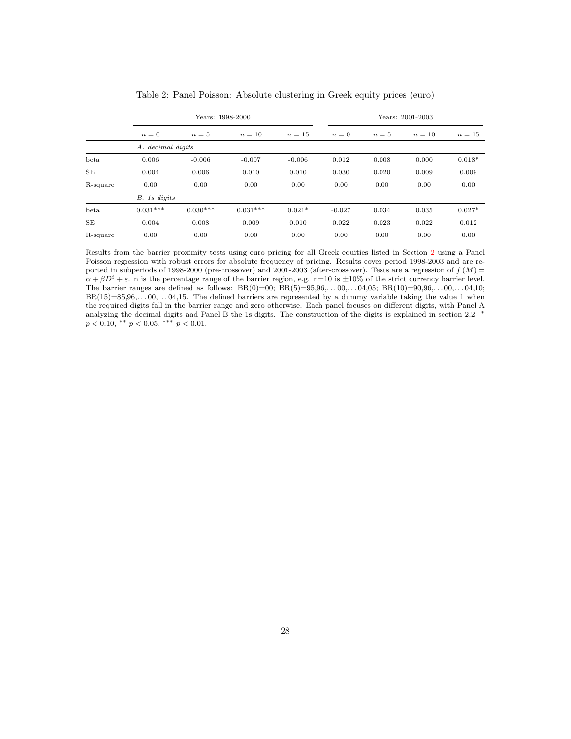<span id="page-27-0"></span>

|           |                      | Years: 1998-2000 |            |          | Years: 2001-2003 |       |        |          |  |  |  |  |
|-----------|----------------------|------------------|------------|----------|------------------|-------|--------|----------|--|--|--|--|
|           | $n=0$                | $n=5$            | $n=10$     | $n=15$   | $n=0$            | $n=5$ | $n=10$ | $n=15$   |  |  |  |  |
|           | A. decimal digits    |                  |            |          |                  |       |        |          |  |  |  |  |
| beta      | 0.006                | $-0.006$         | $-0.007$   | $-0.006$ | 0.012            | 0.008 | 0.000  | $0.018*$ |  |  |  |  |
| <b>SE</b> | 0.004                | 0.006            | 0.010      | 0.010    | 0.030            | 0.020 | 0.009  | 0.009    |  |  |  |  |
| R-square  | 0.00                 | 0.00             | 0.00       | 0.00     | 0.00             | 0.00  | 0.00   | 0.00     |  |  |  |  |
|           | B. 1s digits         |                  |            |          |                  |       |        |          |  |  |  |  |
| beta      | $0.031***$           | $0.030***$       | $0.031***$ | $0.021*$ | $-0.027$         | 0.034 | 0.035  | $0.027*$ |  |  |  |  |
| SE        | 0.004                | 0.008<br>0.009   |            | 0.010    | 0.022            | 0.023 | 0.022  | 0.012    |  |  |  |  |
| R-square  | 0.00<br>0.00<br>0.00 |                  |            | 0.00     | 0.00             | 0.00  | 0.00   | 0.00     |  |  |  |  |

Table 2: Panel Poisson: Absolute clustering in Greek equity prices (euro)

Results from the barrier proximity tests using euro pricing for all Greek equities listed in Section [2](#page-6-0) using a Panel Poisson regression with robust errors for absolute frequency of pricing. Results cover period 1998-2003 and are reported in subperiods of 1998-2000 (pre-crossover) and 2001-2003 (after-crossover). Tests are a regression of  $f(M)$  =  $\alpha + \beta D^i + \varepsilon$ . n is the percentage range of the barrier region, e.g. n=10 is  $\pm 10\%$  of the strict currency barrier level. The barrier ranges are defined as follows:  $BR(0)=00$ ;  $BR(5)=95,96,...00,...04,05$ ;  $BR(10)=90,96,...00,...04,10$ ;  $BR(15)=85,96,...00,...04,15.$  The defined barriers are represented by a dummy variable taking the value 1 when the required digits fall in the barrier range and zero otherwise. Each panel focuses on different digits, with Panel A analyzing the decimal digits and Panel B the 1s digits. The construction of the digits is explained in section 2.2. <sup>\*</sup>  $p < 0.10,$  \*\*  $p < 0.05,$  \*\*\*  $p < 0.01$ .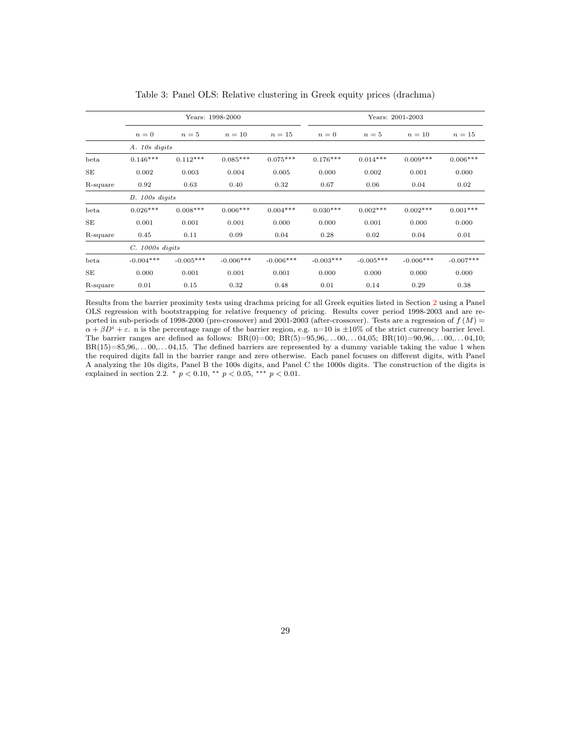<span id="page-28-0"></span>

|           |                   |                  | Years: 1998-2000 |             | Years: 2001-2003 |             |              |             |  |  |  |  |  |
|-----------|-------------------|------------------|------------------|-------------|------------------|-------------|--------------|-------------|--|--|--|--|--|
|           | $n=0$             | $n=5$            | $n=10$           | $n=15$      | $n=0$            | $n=5$       | $n=10$       | $n=15$      |  |  |  |  |  |
|           | A. 10s digits     |                  |                  |             |                  |             |              |             |  |  |  |  |  |
| beta      | $0.146***$        | $0.112***$       | $0.085***$       | $0.075***$  | $0.176***$       | $0.014***$  | $0.009***$   | $0.006***$  |  |  |  |  |  |
| <b>SE</b> | 0.002             | 0.003            | 0.004            | 0.005       | 0.000            | 0.002       | 0.001        | 0.000       |  |  |  |  |  |
| R-square  | 0.92              | 0.63             | 0.40             | 0.32        | 0.67             | 0.06        | 0.04         | 0.02        |  |  |  |  |  |
|           |                   | $B. 100s$ digits |                  |             |                  |             |              |             |  |  |  |  |  |
| beta      | $0.026***$        | $0.008***$       | $0.006***$       | $0.004***$  | $0.030***$       | $0.002***$  | $0.002***$   | $0.001***$  |  |  |  |  |  |
| <b>SE</b> | 0.001             | 0.001            | 0.001            | 0.000       | 0.000            | 0.001       | 0.000        | 0.000       |  |  |  |  |  |
| R-square  | 0.45              | 0.11             | 0.09             | 0.04        | 0.28             | 0.02        | 0.04         | 0.01        |  |  |  |  |  |
|           | $C. 1000s$ digits |                  |                  |             |                  |             |              |             |  |  |  |  |  |
| beta      | $-0.004***$       | $-0.005***$      | $-0.006***$      | $-0.006***$ | $-0.003***$      | $-0.005***$ | $-0.006$ *** | $-0.007***$ |  |  |  |  |  |
| <b>SE</b> | 0.000             | 0.001            | 0.001            | 0.001       | 0.000            | 0.000       | 0.000        | 0.000       |  |  |  |  |  |
| R-square  | 0.01              | 0.15             | 0.32             | 0.48        | 0.01             | 0.14        | 0.29         | 0.38        |  |  |  |  |  |

Table 3: Panel OLS: Relative clustering in Greek equity prices (drachma)

Results from the barrier proximity tests using drachma pricing for all Greek equities listed in Section [2](#page-6-0) using a Panel OLS regression with bootstrapping for relative frequency of pricing. Results cover period 1998-2003 and are reported in sub-periods of 1998-2000 (pre-crossover) and 2001-2003 (after-crossover). Tests are a regression of  $f(M)$  =  $\alpha + \beta D^i + \varepsilon$ . n is the percentage range of the barrier region, e.g. n=10 is  $\pm 10\%$  of the strict currency barrier level. The barrier ranges are defined as follows:  $BR(0)=00$ ;  $BR(5)=95,96,...00,...04,05$ ;  $BR(10)=90,96,...00,...04,10$ ;  $BR(15)=85,96,...00,...04,15.$  The defined barriers are represented by a dummy variable taking the value 1 when the required digits fall in the barrier range and zero otherwise. Each panel focuses on different digits, with Panel A analyzing the 10s digits, Panel B the 100s digits, and Panel C the 1000s digits. The construction of the digits is explained in section 2.2.  $*$   $p < 0.10$ ,  $**$   $p < 0.05$ ,  $***$   $p < 0.01$ .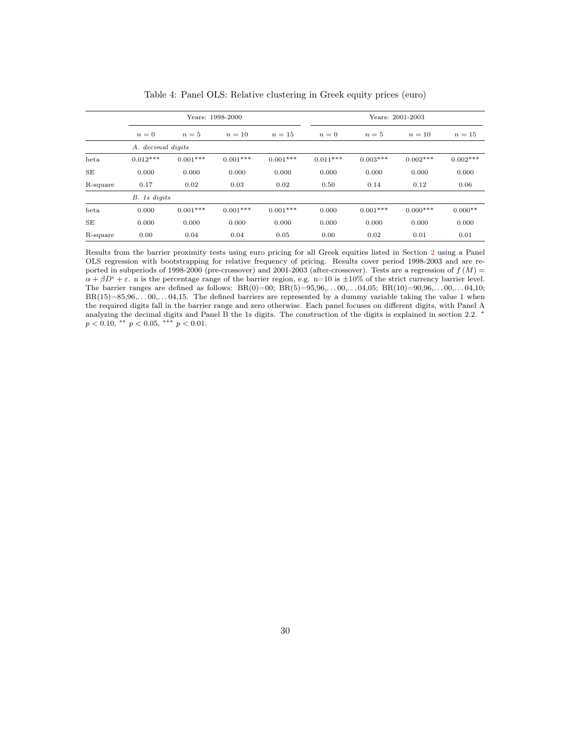<span id="page-29-0"></span>

|           |                      |                | Years: 1998-2000 |            | Years: 2001-2003 |            |            |            |  |  |  |
|-----------|----------------------|----------------|------------------|------------|------------------|------------|------------|------------|--|--|--|
|           | $n=0$                | $n=5$          | $n=10$           | $n=15$     | $n=0$            | $n=5$      | $n=10$     | $n=15$     |  |  |  |
|           | A. decimal digits    |                |                  |            |                  |            |            |            |  |  |  |
| beta      | $0.012***$           | $0.001***$     | $0.001***$       | $0.001***$ | $0.011***$       | $0.003***$ | $0.002***$ | $0.002***$ |  |  |  |
| <b>SE</b> | 0.000                | 0.000          | 0.000            | 0.000      | 0.000            | 0.000      | 0.000      | 0.000      |  |  |  |
| R-square  | 0.17                 | 0.02           | 0.03             | 0.02       | 0.50             | 0.14       | 0.12       | 0.06       |  |  |  |
|           | B. 1s digits         |                |                  |            |                  |            |            |            |  |  |  |
| beta      | 0.000                | $0.001***$     | $0.001***$       | $0.001***$ | 0.000            | $0.001***$ | $0.000***$ | $0.000**$  |  |  |  |
| <b>SE</b> | 0.000                | 0.000<br>0.000 |                  | 0.000      | 0.000            | 0.000      |            | 0.000      |  |  |  |
| R-square  | 0.00<br>0.04<br>0.04 |                | 0.05             | 0.00       | 0.02             |            | 0.01       |            |  |  |  |

Table 4: Panel OLS: Relative clustering in Greek equity prices (euro)

Results from the barrier proximity tests using euro pricing for all Greek equities listed in Section [2](#page-6-0) using a Panel OLS regression with bootstrapping for relative frequency of pricing. Results cover period 1998-2003 and are reported in subperiods of 1998-2000 (pre-crossover) and 2001-2003 (after-crossover). Tests are a regression of  $f(M)$  =  $\alpha + \beta D^i + \varepsilon$ . n is the percentage range of the barrier region, e.g. n=10 is  $\pm 10\%$  of the strict currency barrier level. The barrier ranges are defined as follows:  $BR(0)=00$ ;  $BR(5)=95,96,...00,...04,05$ ;  $BR(10)=90,96,...00,...04,10$ ;  $BR(15)=85,96,...00,...04,15.$  The defined barriers are represented by a dummy variable taking the value 1 when the required digits fall in the barrier range and zero otherwise. Each panel focuses on different digits, with Panel A analyzing the decimal digits and Panel B the 1s digits. The construction of the digits is explained in section 2.2. <sup>\*</sup>  $p < 0.10,$  \*\*  $p < 0.05,$  \*\*\*  $p < 0.01$ .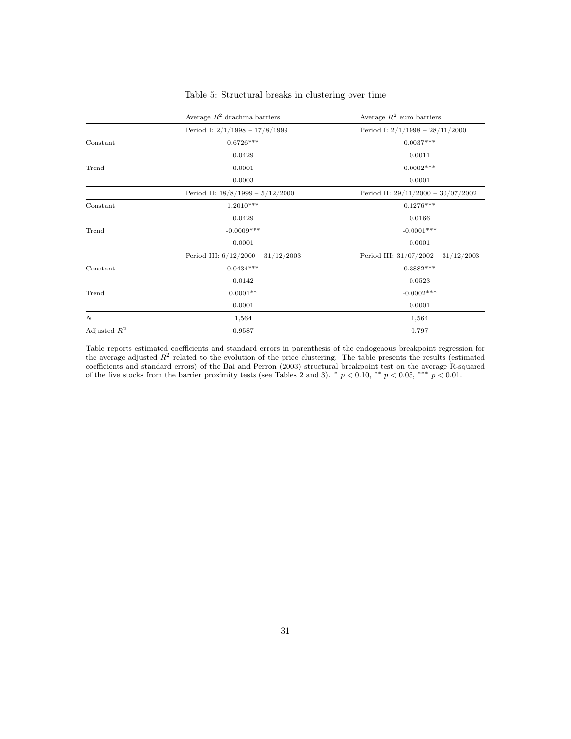<span id="page-30-0"></span>

|                  | Average $R^2$ drachma barriers       | Average $R^2$ euro barriers           |  |  |  |  |
|------------------|--------------------------------------|---------------------------------------|--|--|--|--|
|                  | Period I: $2/1/1998 - 17/8/1999$     | Period I: $2/1/1998 - 28/11/2000$     |  |  |  |  |
| Constant         | $0.6726***$                          | $0.0037***$                           |  |  |  |  |
|                  | 0.0429                               | 0.0011                                |  |  |  |  |
| Trend            | 0.0001                               | $0.0002***$                           |  |  |  |  |
|                  | 0.0003                               | 0.0001                                |  |  |  |  |
|                  | Period II: $18/8/1999 - 5/12/2000$   | Period II: $29/11/2000 - 30/07/2002$  |  |  |  |  |
| Constant         | $1.2010***$                          | $0.1276***$                           |  |  |  |  |
|                  | 0.0429                               | 0.0166                                |  |  |  |  |
| Trend            | $-0.0009***$                         | $-0.0001***$                          |  |  |  |  |
|                  | 0.0001                               | 0.0001                                |  |  |  |  |
|                  | Period III: $6/12/2000 - 31/12/2003$ | Period III: $31/07/2002 - 31/12/2003$ |  |  |  |  |
| Constant         | $0.0434***$                          | $0.3882***$                           |  |  |  |  |
|                  | 0.0142                               | 0.0523                                |  |  |  |  |
| Trend            | $0.0001**$                           | $-0.0002***$                          |  |  |  |  |
|                  | 0.0001                               | 0.0001                                |  |  |  |  |
| $\boldsymbol{N}$ | 1,564                                | 1,564                                 |  |  |  |  |
| Adjusted $R^2$   | 0.9587                               | 0.797                                 |  |  |  |  |

#### Table 5: Structural breaks in clustering over time

Table reports estimated coefficients and standard errors in parenthesis of the endogenous breakpoint regression for the average adjusted  $R^2$  related to the evolution of the price clustering. The table presents the results (estimated coefficients and standard errors) of the Bai and Perron (2003) structural breakpoint test on the average R-squared of the five stocks from the barrier proximity tests (see Tables 2 and 3). \*  $p < 0.10$ , \*\*  $p < 0.05$ , \*\*\*  $p < 0.01$ .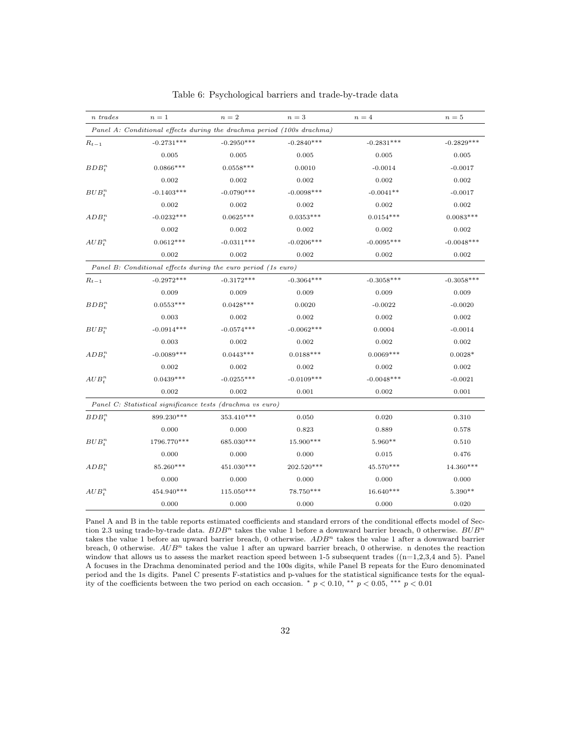<span id="page-31-0"></span>

| n trades  | $n=1$                                                                 | $n=2$        | $n=3$        | $n=4$        | $n=5$        |
|-----------|-----------------------------------------------------------------------|--------------|--------------|--------------|--------------|
|           | Panel A: Conditional effects during the drachma period (100s drachma) |              |              |              |              |
| $R_{t-1}$ | $-0.2731***$                                                          | $-0.2950***$ | $-0.2840***$ | $-0.2831***$ | $-0.2829***$ |
|           | 0.005                                                                 | 0.005        | 0.005        | 0.005        | 0.005        |
| $BDB^n_t$ | $0.0866***$                                                           | $0.0558***$  | 0.0010       | $-0.0014$    | $-0.0017$    |
|           | 0.002                                                                 | 0.002        | 0.002        | 0.002        | 0.002        |
| $BUB^n_t$ | $-0.1403***$                                                          | $-0.0790***$ | $-0.0098***$ | $-0.0041**$  | $-0.0017$    |
|           | 0.002                                                                 | 0.002        | 0.002        | 0.002        | 0.002        |
| $ADB^n_t$ | $-0.0232***$                                                          | $0.0625***$  | $0.0353***$  | $0.0154***$  | $0.0083***$  |
|           | 0.002                                                                 | 0.002        | 0.002        | 0.002        | 0.002        |
| $AUB_t^n$ | $0.0612***$                                                           | $-0.0311***$ | $-0.0206***$ | $-0.0095***$ | $-0.0048***$ |
|           | 0.002                                                                 | 0.002        | 0.002        | 0.002        | 0.002        |
|           | Panel B: Conditional effects during the euro period (1s euro)         |              |              |              |              |
| $R_{t-1}$ | $-0.2972***$                                                          | $-0.3172***$ | $-0.3064***$ | $-0.3058***$ | $-0.3058***$ |
|           | 0.009                                                                 | 0.009        | 0.009        | 0.009        | 0.009        |
| $BDB^n_t$ | $0.0553***$                                                           | $0.0428***$  | 0.0020       | $-0.0022$    | $-0.0020$    |
|           | 0.003                                                                 | 0.002        | 0.002        | 0.002        | 0.002        |
| $BUB^n_t$ | $-0.0914***$                                                          | $-0.0574***$ | $-0.0062***$ | 0.0004       | $-0.0014$    |
|           | 0.003                                                                 | 0.002        | 0.002        | 0.002        | 0.002        |
| $ADB^n_t$ | $-0.0089***$                                                          | $0.0443***$  | $0.0188***$  | $0.0069***$  | $0.0028*$    |
|           | 0.002                                                                 | 0.002        | 0.002        | 0.002        | 0.002        |
| $AUB^n_t$ | $0.0439***$                                                           | $-0.0255***$ | $-0.0109***$ | $-0.0048***$ | $-0.0021$    |
|           | 0.002                                                                 | 0.002        | 0.001        | 0.002        | 0.001        |
|           | Panel C: Statistical significance tests (drachma vs euro)             |              |              |              |              |
| $BDB^n_t$ | 899.230***                                                            | 353.410***   | 0.050        | 0.020        | 0.310        |
|           | 0.000                                                                 | 0.000        | 0.823        | 0.889        | 0.578        |
| $BUB^n_t$ | 1796.770***                                                           | 685.030***   | 15.900***    | $5.960**$    | 0.510        |
|           | 0.000                                                                 | 0.000        | 0.000        | 0.015        | 0.476        |
| $ADB^n_*$ | 85.260***                                                             | 451.030***   | 202.520***   | 45.570***    | 14.360***    |
|           | 0.000                                                                 | 0.000        | 0.000        | 0.000        | 0.000        |
| $AUB^n_*$ | 454.940***                                                            | $115.050***$ | 78.750***    | $16.640***$  | $5.390**$    |
|           | 0.000                                                                 | 0.000        | 0.000        | 0.000        | 0.020        |

Table 6: Psychological barriers and trade-by-trade data

Panel A and B in the table reports estimated coefficients and standard errors of the conditional effects model of Section 2.3 using trade-by-trade data.  $BDB^n$  takes the value 1 before a downward barrier breach, 0 otherwise.  $BUB^n$ takes the value 1 before an upward barrier breach, 0 otherwise.  $ADB<sup>n</sup>$  takes the value 1 after a downward barrier breach, 0 otherwise.  $AUB<sup>n</sup>$  takes the value 1 after an upward barrier breach, 0 otherwise. n denotes the reaction window that allows us to assess the market reaction speed between 1-5 subsequent trades  $((n=1,2,3,4 \text{ and } 5)$ . Panel A focuses in the Drachma denominated period and the 100s digits, while Panel B repeats for the Euro denominated period and the 1s digits. Panel C presents F-statistics and p-values for the statistical significance tests for the equality of the coefficients between the two period on each occasion. \*  $p < 0.10$ , \*\*  $p < 0.05$ , \*\*\*  $p < 0.01$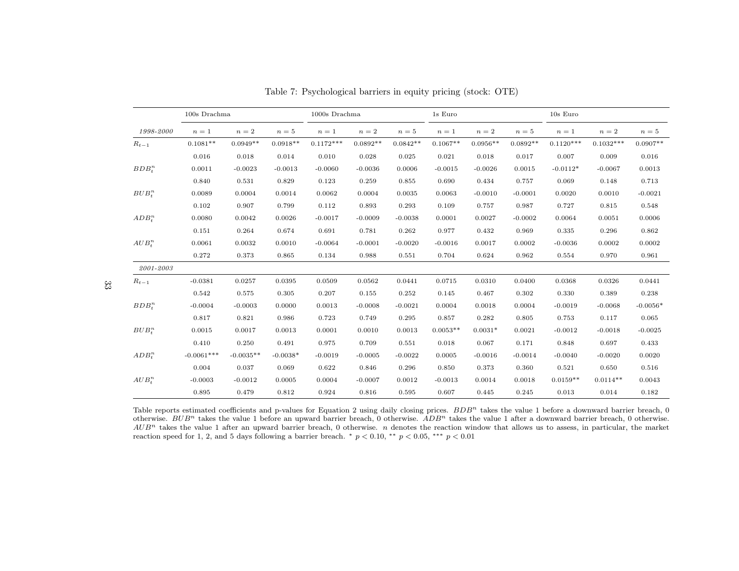|               | 100s Drachma |             |            | 1000s Drachma |            |            | 1s Euro    |            |            | $10s$ Euro  |             |            |  |
|---------------|--------------|-------------|------------|---------------|------------|------------|------------|------------|------------|-------------|-------------|------------|--|
| 1998-2000     | $n=1$        | $n=2$       | $n=5$      | $n=1$         | $n=2$      | $n=5$      | $n=1$      | $n=2$      | $n=5$      | $n=1$       | $n=2$       | $n=5$      |  |
| $R_{t-1}$     | $0.1081**$   | $0.0949**$  | $0.0918**$ | $0.1172***$   | $0.0892**$ | $0.0842**$ | $0.1067**$ | $0.0956**$ | $0.0892**$ | $0.1120***$ | $0.1032***$ | $0.0907**$ |  |
|               | 0.016        | 0.018       | 0.014      | 0.010         | 0.028      | 0.025      | 0.021      | 0.018      | 0.017      | 0.007       | 0.009       | 0.016      |  |
| $BDB^n_*$     | 0.0011       | $-0.0023$   | $-0.0013$  | $-0.0060$     | $-0.0036$  | 0.0006     | $-0.0015$  | $-0.0026$  | 0.0015     | $-0.0112*$  | $-0.0067$   | 0.0013     |  |
|               | 0.840        | 0.531       | 0.829      | 0.123         | 0.259      | 0.855      | 0.690      | 0.434      | 0.757      | 0.069       | 0.148       | 0.713      |  |
| $BUB^n_*$     | 0.0089       | 0.0004      | 0.0014     | 0.0062        | 0.0004     | 0.0035     | 0.0063     | $-0.0010$  | $-0.0001$  | 0.0020      | 0.0010      | $-0.0021$  |  |
|               | 0.102        | 0.907       | 0.799      | 0.112         | 0.893      | 0.293      | 0.109      | 0.757      | 0.987      | 0.727       | 0.815       | 0.548      |  |
| $ADB^n_+$     | 0.0080       | 0.0042      | 0.0026     | $-0.0017$     | $-0.0009$  | $-0.0038$  | 0.0001     | 0.0027     | $-0.0002$  | 0.0064      | 0.0051      | 0.0006     |  |
|               | 0.151        | 0.264       | 0.674      | 0.691         | 0.781      | 0.262      | 0.977      | 0.432      | 0.969      | 0.335       | 0.296       | 0.862      |  |
| $AUB^n_*$     | 0.0061       | 0.0032      | 0.0010     | $-0.0064$     | $-0.0001$  | $-0.0020$  | $-0.0016$  | 0.0017     | 0.0002     | $-0.0036$   | 0.0002      | 0.0002     |  |
|               | 0.272        | 0.373       | 0.865      | 0.134         | 0.988      | 0.551      | 0.704      | 0.624      | 0.962      | 0.554       | 0.970       | 0.961      |  |
| $2001 - 2003$ |              |             |            |               |            |            |            |            |            |             |             |            |  |
| $R_{t-1}$     | $-0.0381$    | 0.0257      | 0.0395     | 0.0509        | 0.0562     | 0.0441     | 0.0715     | 0.0310     | 0.0400     | 0.0368      | 0.0326      | 0.0441     |  |
|               | 0.542        | 0.575       | 0.305      | 0.207         | 0.155      | 0.252      | 0.145      | 0.467      | 0.302      | 0.330       | 0.389       | 0.238      |  |
| $BDB^n_*$     | $-0.0004$    | $-0.0003$   | 0.0000     | 0.0013        | $-0.0008$  | $-0.0021$  | 0.0004     | 0.0018     | 0.0004     | $-0.0019$   | $-0.0068$   | $-0.0056*$ |  |
|               | 0.817        | 0.821       | 0.986      | 0.723         | 0.749      | 0.295      | 0.857      | 0.282      | 0.805      | 0.753       | 0.117       | 0.065      |  |
| $BUB^n_*$     | 0.0015       | 0.0017      | 0.0013     | 0.0001        | 0.0010     | 0.0013     | $0.0053**$ | $0.0031*$  | 0.0021     | $-0.0012$   | $-0.0018$   | $-0.0025$  |  |
|               | 0.410        | 0.250       | 0.491      | 0.975         | 0.709      | 0.551      | 0.018      | 0.067      | 0.171      | 0.848       | 0.697       | 0.433      |  |
| $ADB^n_+$     | $-0.0061***$ | $-0.0035**$ | $-0.0038*$ | $-0.0019$     | $-0.0005$  | $-0.0022$  | 0.0005     | $-0.0016$  | $-0.0014$  | $-0.0040$   | $-0.0020$   | 0.0020     |  |
|               | 0.004        | 0.037       | 0.069      | 0.622         | 0.846      | 0.296      | 0.850      | 0.373      | 0.360      | 0.521       | 0.650       | 0.516      |  |
| $AUB^n_*$     | $-0.0003$    | $-0.0012$   | 0.0005     | 0.0004        | $-0.0007$  | 0.0012     | $-0.0013$  | 0.0014     | 0.0018     | $0.0159**$  | $0.0114**$  | 0.0043     |  |
|               | 0.895        | 0.479       | 0.812      | 0.924         | 0.816      | 0.595      | 0.607      | 0.445      | 0.245      | 0.013       | 0.014       | 0.182      |  |

Table 7: Psychological barriers in equity pricing (stock: OTE)

<span id="page-32-0"></span>Table reports estimated coefficients and p-values for Equation 2 using daily closing prices.  $BDB<sup>n</sup>$  takes the value 1 before a downward barrier breach, 0 otherwise.  $BUB^n$  takes the value 1 before an upward barrier breach, 0 otherwise.  $ADB^n$  takes the value 1 after a downward barrier breach, 0 otherwise.  $AUB<sup>n</sup>$  takes the value 1 after an upward barrier breach, 0 otherwise. *n* denotes the reaction window that allows us to assess, in particular, the market reaction speed for 1, 2, and 5 days following a barrier breach.  $*$   $p < 0.10$ ,  $**$   $p < 0.05$ ,  $***$   $p < 0.01$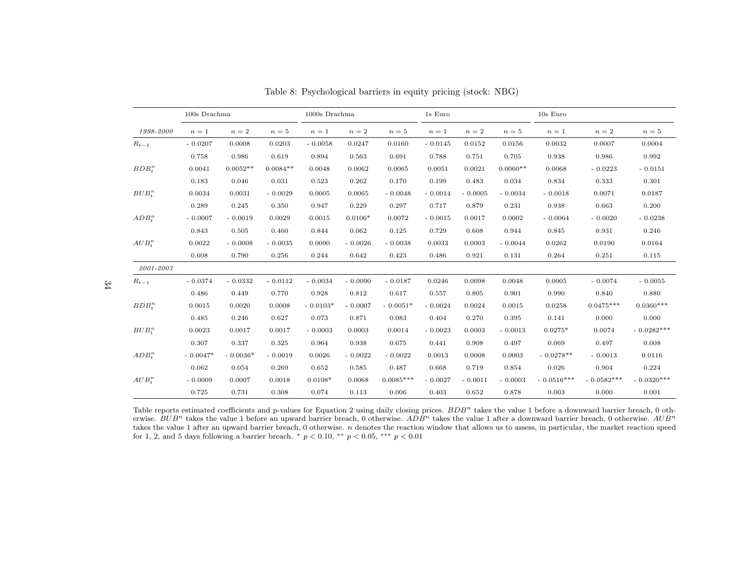|           | $100s$ Drachma |            |            | $1000s$ Drachma |           |             | 1s Euro   |           |            | 10s Euro     |              |              |  |
|-----------|----------------|------------|------------|-----------------|-----------|-------------|-----------|-----------|------------|--------------|--------------|--------------|--|
| 1998-2000 | $n=1$          | $n=2$      | $n=5$      | $n=1$           | $n=2$     | $n=5$       | $n=1$     | $n=2$     | $n=5$      | $n=1$        | $n=2$        | $n=5$        |  |
| $R_{t-1}$ | $-0.0207$      | 0.0008     | 0.0203     | $-0.0058$       | 0.0247    | 0.0160      | $-0.0145$ | 0.0152    | 0.0156     | 0.0032       | 0.0007       | 0.0004       |  |
|           | 0.758          | 0.986      | 0.619      | 0.894           | 0.563     | 0.691       | 0.788     | 0.751     | 0.705      | 0.938        | 0.986        | 0.992        |  |
| $BDB^n_*$ | 0.0041         | $0.0052**$ | $0.0084**$ | 0.0048          | 0.0062    | 0.0065      | 0.0051    | 0.0021    | $0.0060**$ | 0.0068       | $-0.0223$    | $-0.0151$    |  |
|           | 0.183          | 0.046      | 0.031      | 0.523           | 0.262     | 0.170       | 0.199     | 0.483     | 0.034      | 0.834        | 0.333        | 0.301        |  |
| $BUB^n_*$ | 0.0034         | 0.0031     | $-0.0029$  | 0.0005          | 0.0065    | $-0.0048$   | $-0.0014$ | $-0.0005$ | $-0.0034$  | $-0.0018$    | 0.0071       | 0.0187       |  |
|           | 0.289          | 0.245      | 0.350      | 0.947           | 0.229     | 0.297       | 0.717     | 0.879     | 0.231      | 0.938        | 0.663        | 0.200        |  |
| $ADB_*^n$ | $-0.0007$      | $-0.0019$  | 0.0029     | 0.0015          | $0.0106*$ | 0.0072      | $-0.0015$ | 0.0017    | 0.0002     | $-0.0064$    | $-0.0020$    | $-0.0238$    |  |
|           | 0.843          | 0.505      | 0.460      | 0.844           | 0.062     | 0.125       | 0.729     | 0.608     | 0.944      | 0.845        | 0.931        | 0.246        |  |
| $AUB^n_*$ | 0.0022         | $-0.0008$  | $-0.0035$  | 0.0090          | $-0.0026$ | $-0.0038$   | 0.0033    | 0.0003    | $-0.0044$  | 0.0262       | 0.0190       | 0.0164       |  |
|           | 0.608          | 0.790      | 0.256      | 0.244           | 0.642     | 0.423       | 0.486     | 0.921     | 0.131      | 0.264        | 0.251        | 0.115        |  |
| 2001-2003 |                |            |            |                 |           |             |           |           |            |              |              |              |  |
| $R_{t-1}$ | $-0.0374$      | $-0.0332$  | $-0.0112$  | $-0.0034$       | $-0.0090$ | $-0.0187$   | 0.0246    | 0.0098    | 0.0048     | 0.0005       | $-0.0074$    | $-0.0055$    |  |
|           | 0.486          | 0.449      | 0.770      | 0.928           | 0.812     | 0.617       | 0.557     | 0.805     | 0.901      | 0.990        | 0.840        | 0.880        |  |
| $BDB^n_*$ | 0.0015         | 0.0020     | 0.0008     | $-0.0103*$      | $-0.0007$ | $-0.0051*$  | $-0.0024$ | 0.0024    | 0.0015     | 0.0258       | $0.0475***$  | $0.0360***$  |  |
|           | 0.485          | 0.246      | 0.627      | 0.073           | 0.871     | 0.083       | 0.404     | 0.270     | 0.395      | 0.141        | 0.000        | 0.000        |  |
| $BUB^n_*$ | 0.0023         | 0.0017     | 0.0017     | $-0.0003$       | 0.0003    | 0.0014      | $-0.0023$ | 0.0003    | $-0.0013$  | $0.0275*$    | 0.0074       | $-0.0282***$ |  |
|           | 0.307          | 0.337      | 0.325      | 0.964           | 0.938     | 0.675       | 0.441     | 0.908     | 0.497      | 0.069        | 0.497        | 0.008        |  |
| $ADB^n_+$ | $-0.0047*$     | $-0.0036*$ | $-0.0019$  | 0.0026          | $-0.0022$ | $-0.0022$   | 0.0013    | 0.0008    | 0.0003     | $-0.0278**$  | $-0.0013$    | 0.0116       |  |
|           | 0.062          | 0.054      | 0.269      | 0.652           | 0.585     | 0.487       | 0.668     | 0.719     | 0.854      | 0.026        | 0.904        | 0.224        |  |
| $AUB^n_*$ | $-0.0009$      | 0.0007     | 0.0018     | $0.0108*$       | 0.0068    | $0.0085***$ | $-0.0027$ | $-0.0011$ | $-0.0003$  | $-0.0516***$ | $-0.0582***$ | $-0.0320***$ |  |
|           | 0.725          | 0.731      | 0.308      | 0.074           | 0.113     | 0.006       | 0.403     | 0.652     | 0.878      | 0.003        | 0.000        | 0.001        |  |

Table 8: Psychological barriers in equity pricing (stock: NBG)

<span id="page-33-0"></span>Table reports estimated coefficients and p-values for Equation 2 using daily closing prices.  $BDB^n$  takes the value 1 before a downward barrier breach, 0 otherwise.  $BUB^n$  takes the value 1 before an upward barrier breach, 0 otherwise.  $ADB^n$  takes the value 1 after a downward barrier breach, 0 otherwise.  $AUB^n$ takes the value 1 after an upward barrier breach, 0 otherwise. *n* denotes the reaction window that allows us to assess, in particular, the market reaction speed for 1, 2, and 5 days following a barrier breach.  $*$   $p < 0.10$ ,  $**$   $p < 0.05$ ,  $***$   $p < 0.01$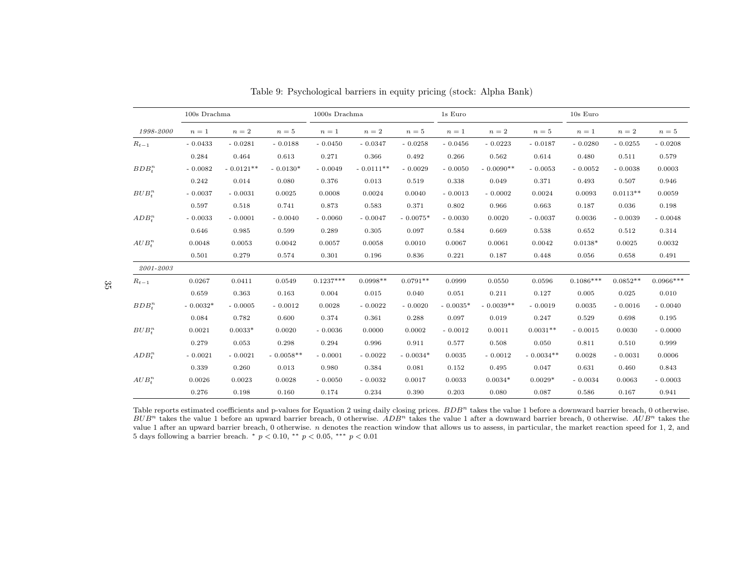|           | 100s Drachma |             |             | 1000s Drachma |             |            | 1s Euro    |             |             | 10s Euro    |            |             |
|-----------|--------------|-------------|-------------|---------------|-------------|------------|------------|-------------|-------------|-------------|------------|-------------|
| 1998-2000 | $n=1$        | $n=2$       | $n=5$       | $n=1$         | $n=2$       | $n=5$      | $n=1$      | $n=2$       | $n=5$       | $n=1$       | $n=2$      | $n=5$       |
| $R_{t-1}$ | $-0.0433$    | $-0.0281$   | $-0.0188$   | $-0.0450$     | $-0.0347$   | $-0.0258$  | $-0.0456$  | $-0.0223$   | $-0.0187$   | $-0.0280$   | $-0.0255$  | $-0.0208$   |
|           | 0.284        | 0.464       | 0.613       | 0.271         | 0.366       | 0.492      | 0.266      | 0.562       | 0.614       | 0.480       | 0.511      | 0.579       |
| $BDB^n_*$ | $-0.0082$    | $-0.0121**$ | $-0.0130*$  | $-0.0049$     | $-0.0111**$ | $-0.0029$  | $-0.0050$  | $-0.0090**$ | $-0.0053$   | $-0.0052$   | $-0.0038$  | 0.0003      |
|           | 0.242        | 0.014       | 0.080       | 0.376         | 0.013       | 0.519      | 0.338      | 0.049       | 0.371       | 0.493       | 0.507      | 0.946       |
| $BUB^n_*$ | $-0.0037$    | $-0.0031$   | 0.0025      | 0.0008        | 0.0024      | 0.0040     | $-0.0013$  | $-0.0002$   | 0.0024      | 0.0093      | $0.0113**$ | 0.0059      |
|           | 0.597        | 0.518       | 0.741       | 0.873         | 0.583       | 0.371      | 0.802      | 0.966       | 0.663       | 0.187       | 0.036      | 0.198       |
| $ADB^n_t$ | $-0.0033$    | $-0.0001$   | $-0.0040$   | $-0.0060$     | $-0.0047$   | $-0.0075*$ | $-0.0030$  | 0.0020      | $-0.0037$   | 0.0036      | $-0.0039$  | $-0.0048$   |
|           | 0.646        | 0.985       | 0.599       | 0.289         | 0.305       | 0.097      | 0.584      | 0.669       | 0.538       | 0.652       | 0.512      | 0.314       |
| $AUB^n_*$ | 0.0048       | 0.0053      | 0.0042      | 0.0057        | 0.0058      | 0.0010     | 0.0067     | 0.0061      | 0.0042      | $0.0138*$   | 0.0025     | 0.0032      |
|           | 0.501        | 0.279       | 0.574       | 0.301         | 0.196       | 0.836      | 0.221      | 0.187       | 0.448       | 0.056       | 0.658      | 0.491       |
| 2001-2003 |              |             |             |               |             |            |            |             |             |             |            |             |
| $R_{t-1}$ | 0.0267       | 0.0411      | 0.0549      | $0.1237***$   | $0.0998**$  | $0.0791**$ | 0.0999     | 0.0550      | 0.0596      | $0.1086***$ | $0.0852**$ | $0.0966***$ |
|           | 0.659        | 0.363       | 0.163       | 0.004         | 0.015       | 0.040      | 0.051      | 0.211       | 0.127       | 0.005       | 0.025      | 0.010       |
| $BDB^n_*$ | $-0.0032*$   | $-0.0005$   | $-0.0012$   | 0.0028        | $-0.0022$   | $-0.0020$  | $-0.0035*$ | $-0.0039**$ | $-0.0019$   | 0.0035      | $-0.0016$  | $-0.0040$   |
|           | 0.084        | 0.782       | 0.600       | 0.374         | 0.361       | 0.288      | 0.097      | 0.019       | 0.247       | 0.529       | 0.698      | 0.195       |
| $BUB^n_*$ | 0.0021       | $0.0033*$   | 0.0020      | $-0.0036$     | 0.0000      | 0.0002     | $-0.0012$  | 0.0011      | $0.0031**$  | $-0.0015$   | 0.0030     | $-0.0000$   |
|           | 0.279        | 0.053       | 0.298       | 0.294         | 0.996       | 0.911      | 0.577      | 0.508       | 0.050       | 0.811       | 0.510      | 0.999       |
| $ADB^n_+$ | $-0.0021$    | $-0.0021$   | $-0.0058**$ | $-0.0001$     | $-0.0022$   | $-0.0034*$ | 0.0035     | $-0.0012$   | $-0.0034**$ | 0.0028      | $-0.0031$  | 0.0006      |
|           | 0.339        | 0.260       | 0.013       | 0.980         | 0.384       | 0.081      | 0.152      | 0.495       | 0.047       | 0.631       | 0.460      | 0.843       |
| $AUB^n_*$ | 0.0026       | 0.0023      | 0.0028      | $-0.0050$     | $-0.0032$   | 0.0017     | 0.0033     | $0.0034*$   | $0.0029*$   | $-0.0034$   | 0.0063     | $-0.0003$   |
|           | 0.276        | 0.198       | 0.160       | 0.174         | 0.234       | 0.390      | 0.203      | 0.080       | 0.087       | 0.586       | 0.167      | 0.941       |

Table 9: Psychological barriers in equity pricing (stock: Alpha Bank)

Table reports estimated coefficients and p-values for Equation 2 using daily closing prices.  $BDB^n$  takes the value 1 before a downward barrier breach, 0 otherwise.  $BUB<sup>n</sup>$  takes the value 1 before an upward barrier breach, 0 otherwise.  $ADB<sup>n</sup>$  takes the value 1 after a downward barrier breach, 0 otherwise.  $AUB<sup>n</sup>$  takes the value 1 after an upward barrier breach, 0 otherwise. n denotes the reaction window that allows us to assess, in particular, the market reaction speed for 1, 2, and 5 days following a barrier breach.  $*$   $p < 0.10,$   $**$   $p < 0.05,$   $***$   $p < 0.01$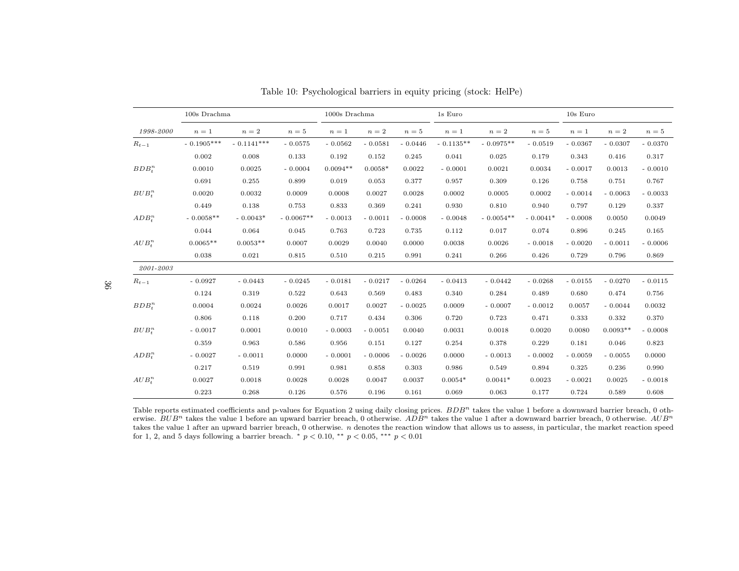|             | 100s Drachma |              |             | 1000s Drachma |           |           | 1s Euro     |             |            | 10s Euro  |            |           |
|-------------|--------------|--------------|-------------|---------------|-----------|-----------|-------------|-------------|------------|-----------|------------|-----------|
| 1998-2000   | $n=1$        | $n=2$        | $n=5$       | $n=1$         | $n=2$     | $n=5$     | $n=1$       | $n=2$       | $n=5$      | $n=1$     | $n=2$      | $n=5$     |
| $R_{t-1}$   | $-0.1905***$ | $-0.1141***$ | $-0.0575$   | $-0.0562$     | $-0.0581$ | $-0.0446$ | $-0.1135**$ | $-0.0975**$ | $-0.0519$  | $-0.0367$ | $-0.0307$  | $-0.0370$ |
|             | 0.002        | 0.008        | 0.133       | 0.192         | 0.152     | 0.245     | 0.041       | 0.025       | 0.179      | 0.343     | 0.416      | 0.317     |
| $BDB^n_*$   | 0.0010       | 0.0025       | $-0.0004$   | $0.0094**$    | $0.0058*$ | 0.0022    | $-0.0001$   | 0.0021      | 0.0034     | $-0.0017$ | 0.0013     | $-0.0010$ |
|             | 0.691        | 0.255        | 0.899       | 0.019         | 0.053     | 0.377     | 0.957       | 0.309       | 0.126      | 0.758     | 0.751      | 0.767     |
| $BUB^n_*$   | 0.0020       | 0.0032       | 0.0009      | 0.0008        | 0.0027    | 0.0028    | 0.0002      | 0.0005      | 0.0002     | $-0.0014$ | $-0.0063$  | $-0.0033$ |
|             | 0.449        | 0.138        | 0.753       | 0.833         | 0.369     | 0.241     | 0.930       | 0.810       | 0.940      | 0.797     | 0.129      | 0.337     |
| $ADB^n_t$   | $-0.0058**$  | $-0.0043*$   | $-0.0067**$ | $-0.0013$     | $-0.0011$ | $-0.0008$ | $-0.0048$   | $-0.0054**$ | $-0.0041*$ | $-0.0008$ | 0.0050     | 0.0049    |
|             | 0.044        | 0.064        | 0.045       | 0.763         | 0.723     | 0.735     | 0.112       | 0.017       | 0.074      | 0.896     | 0.245      | 0.165     |
| $AUB^n_*$   | $0.0065**$   | $0.0053**$   | 0.0007      | 0.0029        | 0.0040    | 0.0000    | 0.0038      | 0.0026      | $-0.0018$  | $-0.0020$ | $-0.0011$  | $-0.0006$ |
|             | 0.038        | 0.021        | 0.815       | 0.510         | 0.215     | 0.991     | 0.241       | 0.266       | 0.426      | 0.729     | 0.796      | 0.869     |
| 2001-2003   |              |              |             |               |           |           |             |             |            |           |            |           |
| $R_{t-1}$   | $-0.0927$    | $-0.0443$    | $-0.0245$   | $-0.0181$     | $-0.0217$ | $-0.0264$ | $-0.0413$   | $-0.0442$   | $-0.0268$  | $-0.0155$ | $-0.0270$  | $-0.0115$ |
|             | 0.124        | 0.319        | 0.522       | 0.643         | 0.569     | 0.483     | 0.340       | 0.284       | 0.489      | 0.680     | 0.474      | 0.756     |
| $BDB^n_*$   | 0.0004       | 0.0024       | 0.0026      | 0.0017        | 0.0027    | $-0.0025$ | 0.0009      | $-0.0007$   | $-0.0012$  | 0.0057    | $-0.0044$  | 0.0032    |
|             | 0.806        | 0.118        | 0.200       | 0.717         | 0.434     | 0.306     | 0.720       | 0.723       | 0.471      | 0.333     | 0.332      | 0.370     |
| $BUB^n_*$   | $-0.0017$    | 0.0001       | 0.0010      | $-0.0003$     | $-0.0051$ | 0.0040    | 0.0031      | 0.0018      | 0.0020     | 0.0080    | $0.0093**$ | $-0.0008$ |
|             | 0.359        | 0.963        | 0.586       | 0.956         | 0.151     | 0.127     | 0.254       | 0.378       | 0.229      | 0.181     | 0.046      | 0.823     |
| $ADB^n_+$   | $-0.0027$    | $-0.0011$    | 0.0000      | $-0.0001$     | $-0.0006$ | $-0.0026$ | 0.0000      | $-0.0013$   | $-0.0002$  | $-0.0059$ | $-0.0055$  | 0.0000    |
|             | 0.217        | 0.519        | 0.991       | 0.981         | 0.858     | 0.303     | 0.986       | 0.549       | 0.894      | 0.325     | 0.236      | 0.990     |
| $AUB^n_{t}$ | 0.0027       | 0.0018       | 0.0028      | 0.0028        | 0.0047    | 0.0037    | $0.0054*$   | $0.0041*$   | 0.0023     | $-0.0021$ | 0.0025     | $-0.0018$ |
|             | 0.223        | 0.268        | 0.126       | 0.576         | 0.196     | 0.161     | 0.069       | 0.063       | 0.177      | 0.724     | 0.589      | 0.608     |

Table 10: Psychological barriers in equity pricing (stock: HelPe)

Table reports estimated coefficients and p-values for Equation 2 using daily closing prices.  $BDB^n$  takes the value 1 before a downward barrier breach, 0 otherwise.  $BUB^n$  takes the value 1 before an upward barrier breach, 0 otherwise.  $ADB^n$  takes the value 1 after a downward barrier breach, 0 otherwise.  $AUB^n$ takes the value 1 after an upward barrier breach, 0 otherwise. *n* denotes the reaction window that allows us to assess, in particular, the market reaction speed for 1, 2, and 5 days following a barrier breach.  $*$   $p < 0.10$ ,  $**$   $p < 0.05$ ,  $***$   $p < 0.01$